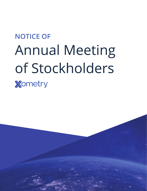# **NOTICE OF Annual Meeting** of Stockholders **Xometry**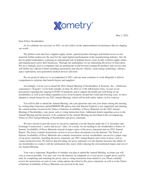

May 2, 2022

Dear Fellow Stockholders:

As we celebrate our successes in 2021, we also reflect on the unprecedented circumstances that are shaping our world.

The global events that have crippled supply chains, spurred product shortages and limited access to raw materials further underscore the need for the rapid digital transformation of the manufacturing industry. Our AIdriven global marketplace is playing an instrumental role in helping buyers create locally resilient supply chains and manufacturers grow their businesses. Through our marketplace we are unleashing the power of innovation. We are a strategic asset to companies that are pushing the world forward creating the products and services that will define our collective future including autonomous and electric vehicles, clean energy technology, robotics, space exploration, next-generation medical devices and more.

We are proud of what we've accomplished in 2021, and our team continues to work diligently to deliver comprehensive solutions that benefit buyers and suppliers.

Accordingly, I invite you to attend the 2022 Annual Meeting of Stockholders of Xometry, Inc., a Delaware corporation ("Xometry") to be held virtually on June 28, 2022 at 11:00 AM Eastern Time. As part of our precautions regarding the ongoing COVID-19 pandemic and to support the health and well-being of our stockholders as well as providing expanded access from locations around the world and lowering costs, we have adopted a virtual format for our 2022 Annual Meeting, which will be held solely online via live webcast.

You will be able to attend the Annual Meeting, ask your questions and vote your shares during the meeting by visiting https://meetnow.global/MM6NC9R (please note that Internet Explorer is not supported) and entering the control number located on the Notice of Internet Availability of Proxy Materials for the 2022 Annual Meeting of Stockholders, your proxy card or voting instruction form. Additional details regarding access to the Annual Meeting and the business to be conducted at the Annual Meeting are described in the accompanying Notice of 2022 Annual Meeting of Stockholders and proxy statement.

We have elected to provide access to our proxy materials over the Internet under the U.S. Securities and Exchange Commission's "notice and access" rules. As a result, we are mailing to our stockholders a Notice of Internet Availability of Proxy Materials instead of paper copies of the proxy statement and our 2021 Annual Report. The notice contains instructions on how to access those documents over the Internet. The Notice of Internet Availability of Proxy Materials also contains instructions on how stockholders can receive a paper copy of our proxy materials, including the proxy statement, our 2021 Annual Report and a form of proxy card or voting instruction form. We believe that providing our proxy materials over the Internet increases the ability of our stockholders to connect with the information they need, while reducing the environmental impact and cost of our Annual Meeting.

Your vote is important. Regardless of whether you plan to attend the Annual Meeting, we hope you will vote as soon as possible. You may vote over the Internet, by telephone or, if you receive a paper proxy card by mail, by completing and returning the proxy card or voting instruction form mailed to you. Please carefully review the instructions on each of your voting options described in this proxy statement, as well as in the Notice of Internet Availability of Proxy Materials you received in the mail.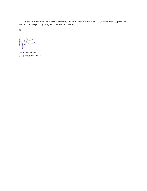On behalf of the Xometry Board of Directors and employees, we thank you for your continued support and look forward to speaking with you at the Annual Meeting.

Sincerely,

 $\sqrt{ }$ 

Randy Altschuler *Chief Executive Officer*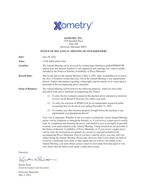

**XOMETRY, INC.** 7529 Standish Place Suite 200 Derwood, Maryland 20855

# **NOTICE OF 2022 ANNUAL MEETING OF STOCKHOLDERS**

| Date:                     | June 28, 2022                                                                                                                                                                                                                                                                                                                                                                                                                                                                                                                                                                                                                                                                                                                                                                                                                                                                                                                                                                             |
|---------------------------|-------------------------------------------------------------------------------------------------------------------------------------------------------------------------------------------------------------------------------------------------------------------------------------------------------------------------------------------------------------------------------------------------------------------------------------------------------------------------------------------------------------------------------------------------------------------------------------------------------------------------------------------------------------------------------------------------------------------------------------------------------------------------------------------------------------------------------------------------------------------------------------------------------------------------------------------------------------------------------------------|
| Time:                     | 11:00 AM Eastern Time                                                                                                                                                                                                                                                                                                                                                                                                                                                                                                                                                                                                                                                                                                                                                                                                                                                                                                                                                                     |
| <b>Location:</b>          | The Annual Meeting can be accessed by visiting https://meetnow.global/MM6NC9R<br>(please note that Internet Explorer is not supported) and entering your control number<br>included in the Notice of Internet Availability of Proxy Materials.                                                                                                                                                                                                                                                                                                                                                                                                                                                                                                                                                                                                                                                                                                                                            |
| <b>Record Date:</b>       | The record date for the Annual Meeting is May 4, 2022. Only stockholders of record at<br>the close of business on that date may vote at the Annual Meeting or any adjournment<br>thereof. Further information regarding voting rights and the matters to be voted upon is<br>presented in the accompanying proxy statement.                                                                                                                                                                                                                                                                                                                                                                                                                                                                                                                                                                                                                                                               |
| <b>Items of Business:</b> | The Annual Meeting will be held for the following purposes, which are more fully<br>described in the proxy statement accompanying this Notice:                                                                                                                                                                                                                                                                                                                                                                                                                                                                                                                                                                                                                                                                                                                                                                                                                                            |
|                           | (1) To elect the two nominees named in the attached proxy statement as directors<br>to serve on the Board of Directors for a three-year term.                                                                                                                                                                                                                                                                                                                                                                                                                                                                                                                                                                                                                                                                                                                                                                                                                                             |
|                           | To ratify the selection of KPMG LLP as our independent registered public<br>(2)<br>accounting firm for the fiscal year ending December 31, 2022.                                                                                                                                                                                                                                                                                                                                                                                                                                                                                                                                                                                                                                                                                                                                                                                                                                          |
|                           | (3) To conduct any other business properly brought before the meeting or any<br>adjournment or postponement thereof.                                                                                                                                                                                                                                                                                                                                                                                                                                                                                                                                                                                                                                                                                                                                                                                                                                                                      |
|                           | Your vote is important. Whether or not you expect to attend the virtual Annual Meeting,<br>please vote by telephone or through the Internet, or, if you receive a paper proxy card by<br>mail, by completing and returning the proxy card mailed to you, as promptly as possible<br>to ensure your representation at the Annual Meeting. Voting instructions are provided in<br>the Notice of Internet Availability of Proxy Materials, or, if you receive a paper proxy<br>card by mail, the instructions are printed on your proxy card and included in the<br>accompanying Proxy Statement. Even if you have voted by proxy, you may still vote<br>online during the Annual Meeting. Please note, however, that if your shares are held of<br>record by a brokerage firm, bank or other agent and you wish to vote online at the<br>Annual Meeting, you must obtain a proxy issued in your name from that agent to vote<br>your shares that are held in such agent's name and account. |

Sincerely,

 $\nless$ Best  $\overline{\mathcal{L}}$ 

Kristie Scott *General Counsel and Secretary*

Derwood, Maryland May 2, 2022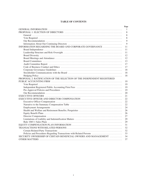# **TABLE OF CONTENTS**

|                                                                         | Page |
|-------------------------------------------------------------------------|------|
|                                                                         | 1    |
|                                                                         | 8    |
|                                                                         | 8    |
|                                                                         | 8    |
|                                                                         | 9    |
|                                                                         | 9    |
| INFORMATION REGARDING THE BOARD AND CORPORATE GOVERNANCE                | 11   |
|                                                                         | 11   |
|                                                                         | 11   |
|                                                                         | 12   |
|                                                                         | 12   |
|                                                                         | 13   |
|                                                                         | 17   |
|                                                                         | 17   |
|                                                                         | 18   |
|                                                                         | 18   |
|                                                                         | 18   |
| PROPOSAL 2: RATIFICATION OF THE SELECTION OF THE INDEPENDENT REGISTERED |      |
|                                                                         | 19   |
|                                                                         | 19   |
|                                                                         | 19   |
|                                                                         | 19   |
|                                                                         | 20   |
|                                                                         | 21   |
|                                                                         | 22   |
|                                                                         | 22   |
|                                                                         | 22   |
|                                                                         | 24   |
|                                                                         | 26   |
|                                                                         | 26   |
|                                                                         | 27   |
|                                                                         | 29   |
|                                                                         | 29   |
|                                                                         | 31   |
|                                                                         | 32   |
|                                                                         | 32   |
| Policies and Procedures Regarding Transactions with Related Persons     | 33   |
| SECURITY OWNERSHIP OF CERTAIN BENEFICIAL OWNERS AND MANAGEMENT          | 34   |
|                                                                         | 37   |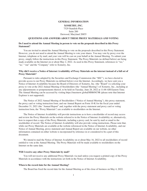# **GENERAL INFORMATION**

# **XOMETRY, INC.** 7529 Standish Place Suite 200 Derwood, Maryland 20855

# **QUESTIONS AND ANSWERS ABOUT THESE PROXY MATERIALS AND VOTING**

# <span id="page-5-0"></span>**Do I need to attend the Annual Meeting in person to vote on the proposals described in this Proxy Statement?**

You are invited to attend the Annual Meeting to vote on the proposals described in this Proxy Statement. However, you do not need to attend the Annual Meeting to vote your shares. You may vote by proxy over the Internet, telephone or by mail, and your vote will be cast on your behalf at the Annual Meeting. To submit your proxy, simply follow the instructions in this Proxy Statement. The Proxy Materials (as defined below) are being made available on the Internet on or about May 2, 2022. As used in this Proxy Statement, references to "we," "us," "our" and the "Company" refer to Xometry, Inc.

# **Why did I receive a Notice of Internet Availability of Proxy Materials on the internet instead of a full set of Proxy Materials?**

Pursuant to rules adopted by the Securities and Exchange Commission (the "SEC"), we have elected to provide access to our Proxy Materials (as defined below) over the Internet. Accordingly, we have sent you a Notice of Internet Availability because the Board of Directors of Xometry, Inc. (the "Board") is soliciting your proxy to vote at the 2022 Annual Meeting of Stockholders (the "Annual Meeting") of Xometry, Inc., including at any adjournments or postponements thereof, to be held on Tuesday, June 28, 2022 at 11:00 AM Eastern Time. The Annual Meeting can be accessed by visiting https://meetnow.global/MM6NC9R (please note that Internet Explorer is not supported).

The Notice of 2022 Annual Meeting of Stockholders ("Notice of Annual Meeting"), this proxy statement, the proxy card or voting instruction form, and our Annual Report on Form 10-K for the fiscal year ended December 31, 2021 (the "Annual Report" and, together with the proxy statement and proxy card or voting instruction form, the "Proxy Materials") are available to stockholders on the Internet.

The Notice of Internet Availability will provide instructions as to how a stockholder of record may access and review the Proxy Materials on the website referred to in the Notice of Internet Availability or, alternatively, how to request that a copy of the Proxy Materials, including a proxy card, be sent by mail or email to the stockholder of record. The Notice of Internet Availability will also provide voting instructions. Please note that, while our Proxy Materials are available at the website referenced in the Notice of Internet Availability, and our Notice of Annual Meeting, proxy statement and Annual Report are available on our website, no other information contained on either website is incorporated by reference in or considered to be a part of this document.

We intend to mail the Notice of Internet Availability on or about May 16, 2022 to all stockholders of record entitled to vote at the Annual Meeting. The Proxy Materials will be made available to stockholders on the Internet on the same date.

## **Will I receive any other Proxy Materials by mail?**

You will not receive any additional Proxy Materials via mail unless you request a printed copy of the Proxy Materials in accordance with the instructions set forth in the Notice of Internet Availability.

## **When is the record date for the Annual Meeting?**

The Board has fixed the record date for the Annual Meeting as of the close of business on May 4, 2022.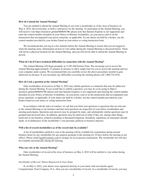#### **How do I attend the Annual Meeting?**

You are entitled to attend the Annual Meeting if you were a stockholder as of the close of business on May 4, 2022, the record date, or hold a valid proxy for the meeting. To participate in the Annual Meeting, you will need to visit https://meetnow.global/MM6NC9R (please note that Internet Explorer is not supported) and enter the control number included on your Notice of Internet Availability, on your proxy card or on the instructions that accompanied your proxy materials, as applicable. If your shares are held by a broker, use the control number provided by your broker found on your notice or voting instruction form.

We recommend that you log in a few minutes before the Annual Meeting to ensure that you are logged in when the meeting starts. Information on how to vote online during the Annual Meeting is discussed below. There will not be a physical location for the Annual Meeting, and you will not be able to attend the Annual Meeting in person.

#### **What do I do if I have technical difficulties in connection with the Annual Meeting?**

The Annual Meeting will begin promptly at 11:00 AM Eastern Time. We encourage you to access the Annual Meeting approximately 15 minutes in advance to allow ample time for you to access the meeting and test your computer audio system. We recommend that you carefully review the above procedures needed to gain admission in advance. If you encounter any difficulties accessing the meeting please call 1.888.724.2416.

#### **How do I ask a question at the Annual Meeting?**

Only stockholders of record as of May 4, 2022 may submit questions or comments that may be addressed during the Annual Meeting. If you would like to submit a question, you may do so by going to https:// meetnow.global/MM6NC9R (please note that Internet Explorer is not supported) and entering the control number included on your Notice of Internet Availability, on your proxy card or on the instructions that accompanied your proxy materials, as applicable. If your shares are held by a broker, use the control number provided by your broker found on your notice or voting instruction form.

In accordance with the rules of conduct, we ask that you limit your questions to questions that are relevant to the Annual Meeting or our business and that such questions are respectful of your fellow stockholders and meeting participants. Questions and answers may be grouped by topic, and substantially similar questions may be grouped and answered once. In addition, questions may be ruled out of order if they are, among other things, irrelevant to our business, related to pending or threatened litigation, disorderly, repetitious of statements already made, or in furtherance of the stockholder's own personal, political or business interests.

#### **Will a list of record stockholders as of the record date be available?**

A list of stockholders entitled to vote at the meeting will be available for examination during normal business hours by any stockholder for any purpose germane to the meeting for 10 days before the meeting at our offices. Please email legal@xometry.com to arrange for an in-person examination. The stockholder list will also be available electronically during the meeting.

# **Who can vote at the Annual Meeting?**

Only stockholders of record at the close of business on May 4, 2022 will be entitled to vote online during the Annual Meeting.

#### *Stockholder of Record: Shares Registered in Your Name*

If, on May 4, 2022, your shares were registered directly in your name with our transfer agent, Computershare Trust Company, N.A., then you are a stockholder of record. As a stockholder of record, you may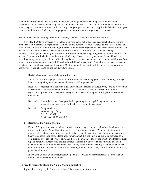vote online during the meeting by going to https://meetnow.global/MM6NC9R (please note that Internet Explorer is not supported) and entering the control number included on your Notice of Internet Availability, on your proxy card or on the instructions that accompanied your proxy materials, as applicable. Whether or not you plan to attend the Annual Meeting, we urge you to vote by proxy to ensure your vote is counted.

# *Beneficial Owner: Shares Registered in the Name of a Broker, Bank or Similar Organization*

If on May 4, 2022, your shares were held, not in your name, but rather in an account at a brokerage firm, bank, dealer or other similar organization, then you are the beneficial owner of shares held in "street name" and the Notice of Internet Availability is being forwarded to you by that organization. The organization holding your account is considered to be the stockholder of record for purposes of voting at the Annual Meeting. As a beneficial owner, you have the right to direct your broker or other agent regarding how to vote the shares in your account. You are also invited to attend the Annual Meeting. However, since you are not the stockholder of record, you may not vote your shares online during the meeting unless you request and obtain a valid proxy from your broker or other agent, as required. If you hold a valid legal proxy for the Annual Meeting because you are a beneficial owner and want to attend the Annual Meeting online by webcast (with the ability to ask a question and/or vote, if you choose to do so), you have two options:

# **1. Registration in Advance of the Annual Meeting**

Submit proof of the legal proxy from your broker or bank reflecting your Xometry holdings ("Legal Proxy") along with your name and email address to Computershare.

Requests for registration as set forth in (1) above must be labeled as "Legal Proxy" and be received no later than 5:00 PM Eastern Time, on June 23, 2022. You will receive a confirmation of your registration by email after we receive the registration materials. Requests for registration should be directed to:

By email: Forward the email from your broker granting you a Legal Proxy, or attach an image of your Legal Proxy, to legalproxy@computershare.com

By mail: Computershare Xometry Legal Proxy P.O. Box 43001 Providence, RI 02940-3001

# **2. Register at the Annual Meeting**

For the 2022 proxy season, an industry solution has been agreed upon to allow beneficial owners to register online at the Annual Meeting to attend, ask questions and vote. We expect that the vast majority of beneficial owners will be able to fully participate using the control number received with their voting instruction form. Please note, however, that this option is intended to be provided as a convenience to beneficial owners only, and there is no guarantee this option will be available for every type of beneficial owner voting control number. The inability to provide this option to any or all beneficial owners shall in no way impact the validity of the Annual Meeting. Beneficial owners may choose to register in advance of the Annual Meeting option above, if they prefer to use this traditional, paper-based option.

In any event, please go to https://meetnow.global/MM6NC9R for more information on the available options and registration instructions.

## **Do I need to register to attend the Annual Meeting virtually?**

Registration is only required if you are a beneficial owner, as set forth above.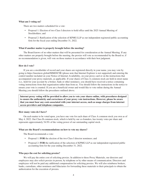## **What am I voting on?**

There are two matters scheduled for a vote:

- Proposal 1: Election of two Class I directors to hold office until the 2025 Annual Meeting of Stockholders; and
- Proposal 2: Ratification of the selection of KPMG LLP as our independent registered public accounting firm for the fiscal year ending December 31, 2022.

## **What if another matter is properly brought before the meeting?**

The Board knows of no other matters that will be presented for consideration at the Annual Meeting. If any other matters are properly brought before the meeting, the proxies will vote as recommended by the Board or, if no recommendation is given, will vote on those matters in accordance with their best judgment.

# **How do I vote?**

If you are a stockholder of record and your shares are registered directly in your name, you may vote by going to https://meetnow.global/MM6NC9R (please note that Internet Explorer is not supported) and entering the control number included on your Notice of Internet Availability, on your proxy card or on the instructions that accompanied your proxy materials, as applicable. If your shares of Class A common stock are held in street name (i.e., held for your account by a broker, bank or other nominee), you should have received a notice containing voting instructions from that organization rather than from us. You should follow the instructions in the notice to ensure your vote is counted. If you are a beneficial owner and would like to vote online during the Annual Meeting you should follow the procedures outlined above.

**Internet proxy voting will be provided to allow you to vote your shares online, with procedures designed to ensure the authenticity and correctness of your proxy vote instructions. However, please be aware that you must bear any costs associated with your internet access, such as usage charges from internet access providers and telephone companies.**

#### **How many votes do I have?**

On each matter to be voted upon, you have one vote for each share of Class A common stock you own as of May 4, 2022. Our Class B common stock, which is held by our co-founders, has twenty votes per share and represents approximately 54.9% of the voting power of our outstanding capital stock.

#### **What are the Board's recommendations on how to vote my shares?**

The Board recommends a vote:

- Proposal 1: **FOR** the election of the two Class I director nominees; and
- Proposal 2: **FOR** the ratification of the selection of KPMG LLP as our independent registered public accounting firm for the year ending December 31, 2022.

# **Who pays the cost for soliciting proxies?**

We will pay the entire cost of soliciting proxies. In addition to these Proxy Materials, our directors and employees may also solicit proxies in person, by telephone or by other means of communication. Directors and employees will not be paid any additional compensation for soliciting proxies. We will also reimburse brokers, banks, custodians, other nominees and fiduciaries for forwarding these materials to their principals to obtain the authorization for the execution of proxies.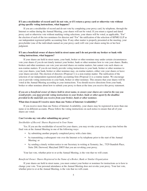# **If I am a stockholder of record and I do not vote, or if I return a proxy card or otherwise vote without giving specific voting instructions, what happens?**

If you are a stockholder of record and do not vote by completing your proxy card, by telephone, through the Internet or online during the Annual Meeting, your shares will not be voted. If you return a signed and dated proxy card or otherwise vote without marking voting selections, your shares will be voted, as applicable, "For" the election of each of the two nominees for director and "For" the ratification of the selection of KPMG LLP as our independent registered public accounting firm. If any other matter is properly presented at the meeting, your proxyholder (one of the individuals named on your proxy card) will vote your shares using his or her best judgment.

# **If I am a beneficial owner of shares held in street name and I do not provide my broker or bank with voting instructions, what happens?**

If your shares are held in street name, your bank, broker or other nominee may under certain circumstances vote your shares if you do not timely instruct your broker, bank or other nominee how to vote your shares. Banks, brokers and other nominees can vote your unvoted shares on routine matters, but cannot vote such shares on non-routine matters. If you do not timely provide voting instructions to your bank, broker or other nominee to vote your shares, your bank, broker or other nominee may, on routine matters, either vote your shares or leave your shares unvoted. The election of directors (Proposal 1) is a non-routine matter. The ratification of the selection of our independent registered public accounting firm (Proposal 2) is a routine matter. We encourage you to provide voting instructions to your bank, broker or other nominee. This ensures that your shares will be voted at the Annual Meeting according to your instructions. You should receive directions from your bank, broker or other nominee about how to submit your proxy to them at the time you receive this proxy statement.

# *If you are a beneficial owner of shares held in street name, to ensure your shares are voted in the way you would prefer, you must provide voting instructions to your broker, bank or other agent by the deadline provided in the materials you receive from your broker, bank or other nominee.*

## **What does it mean if I receive more than one Notice of Internet Availability?**

If you receive more than one Notice of Internet Availability, your shares may be registered in more than one name or in different accounts. Please follow the voting instructions on each notice to ensure that all of your shares are voted.

# **Can I revoke my vote after submitting my proxy?**

# *Stockholder of Record: Shares Registered in Your Name*

Yes. If you are the stockholder of record for your shares, you may revoke your proxy at any time before the final vote at the Annual Meeting in one of the following ways:

- by submitting another properly completed proxy with a later date;
- by transmitting a subsequent vote over the Internet or by telephone prior to the start of the Annual Meeting; or
- by sending a timely written notice to our Secretary in writing at Xometry, Inc., 7529 Standish Place, Suite 200, Derwood, Maryland 20855 that you are revoking your proxy.

Your last vote, whether prior to or at the Annual Meeting, is the vote that we will count.

#### *Beneficial Owner: Shares Registered in the Name of a Broker, Bank or Similar Organization*

If your shares are held in street name, you must contact your broker or nominee for instructions as to how to change your vote. Your personal attendance at the Annual Meeting does not revoke your proxy. Your last vote, whether prior to or at the Annual Meeting, is the vote that we will count.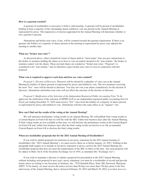## **How is a quorum reached?**

A quorum of stockholders is necessary to hold a valid meeting. A quorum will be present if stockholders holding at least a majority of the outstanding shares entitled to vote are present at the Annual Meeting or represented by proxy. The inspector(s) of election appointed for the Annual Meeting will determine whether or not a quorum is present.

Abstentions and broker non-votes, if any, will be counted towards the quorum requirement. If there is no quorum, the holders of a majority of shares present at the meeting or represented by proxy may adjourn the meeting to another date.

## **What are "broker non-votes"?**

As discussed above, when a beneficial owner of shares held in "street name" does not give instructions to the broker or nominee holding the shares as to how to vote on matters deemed to be "non-routine," the broker or nominee cannot vote the shares. These unvoted shares are counted as "broker non-votes." Proposal 1 is considered to be "non-routine," and we therefore expect broker non-votes to exist in connection with this proposal.

# **What vote is required to approve each item and how are votes counted?**

*Proposal 1: Election of Directors.* Directors will be elected by a plurality of votes cast at the Annual Meeting by holders of shares present or represented by proxy and entitled to vote. The two nominees receiving the most "For" votes will be elected as directors. You may not vote your shares cumulatively for the election of directors. Abstentions and broker non-votes will not affect the outcome of the election of directors.

*Proposal 2: Ratification of the Selection of the Independent Registered Public Accounting Firm.* To be approved, the ratification of the selection of KPMG LLP as our independent registered public accounting firm for fiscal year ending December 31, 2022 must receive "For" votes from the holders of a majority of shares present or represented by proxy and entitled to vote. Abstentions will have the same effect as an "Against" vote.

# **How can I find out the results of the voting at the Annual Meeting?**

We will announce preliminary voting results at our Annual Meeting. We will publish final voting results in a Current Report on Form 8-K that we will file with the SEC within four business days after the Annual Meeting. If final voting results are not available at that time, we will disclose the preliminary results in the Current Report on Form 8-K and, within four business days after the final voting results are known to us, file an amended Current Report on Form 8-K to disclose the final voting results.

#### **When are stockholder proposals due for the 2023 Annual Meeting of Stockholders?**

If you wish to submit proposals for inclusion in our proxy statement for the 2023 annual meeting of stockholders (the "2023 Annual Meeting"), we must receive them on or before January 16, 2023. Nothing in this paragraph shall require us to include in our proxy statement or proxy card for the 2023 Annual Meeting any stockholder proposal that does not meet the requirements of the SEC in effect at the time. Any such proposal will be subject to Rule 14a-8 of the Securities Exchange Act of 1934, as amended (the "Exchange Act").

If you wish to nominate a director or submit a proposal for presentation at the 2023 Annual Meeting, without including such proposal in next year's proxy statement, you must be a stockholder of record and provide timely notice in writing to our Secretary at Xometry, Inc., 7529 Standish Place, Suite 200, Derwood, Maryland 20855. To be timely, we must receive the notice not less than 90 days nor more than 120 days prior to the first anniversary of the Annual Meeting, that is, between February 28, 2023 and March 30, 2023; *provided*, *however*,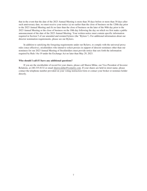that in the event that the date of the 2023 Annual Meeting is more than 30 days before or more than 30 days after such anniversary date, we must receive your notice (a) no earlier than the close of business on the 120th day prior to the 2023 Annual Meeting and (b) no later than the close of business on the later of the 90th day prior to the 2023 Annual Meeting or the close of business on the 10th day following the day on which we first make a public announcement of the date of the 2023 Annual Meeting. Your written notice must contain specific information required in Section 5 of our amended and restated bylaws (the "Bylaws"). For additional information about our director nomination requirements, please see our Bylaws.

In addition to satisfying the foregoing requirements under our Bylaws, to comply with the universal proxy rules (once effective), stockholders who intend to solicit proxies in support of director nominees other than our nominees for our 2023 Annual Meeting of Stockholders must provide notice that sets forth the information required by Rule 14a-19 under the Exchange Act no later than May 29, 2023.

# **Who should I call if I have any additional questions?**

If you are the stockholder of record for your shares, please call Shawn Milne, our Vice President of Investor Relations, at 240.335.8132 or email shawn.milne@xometry.com. If your shares are held in street name, please contact the telephone number provided on your voting instruction form or contact your broker or nominee holder directly.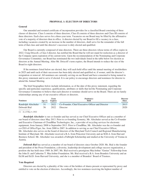# **PROPOSAL 1: ELECTION OF DIRECTORS**

# <span id="page-12-1"></span><span id="page-12-0"></span>**General**

Our amended and restated certificate of incorporation provides for a classified Board consisting of three classes of directors. Class I consists of three directors, Class II consists of three directors and Class III consists of three directors. Each class serves for a three-year term. Vacancies on our Board may be filled by the affirmative vote of a majority of directors then in office. A director elected by our Board to fill a vacancy in a class, including vacancies created by an increase in the number of directors, shall serve for the remainder of the full term of that class and until the director's successor is duly elected and qualified.

Our Board is currently composed of nine directors. There are three directors whose terms of office expire in 2022. Craig Driscoll, a Class I director, has notified the Board that he will not stand for reelection as a director of the Company upon expiration of his current term. Upon the recommendation of the Nominating and Corporate Governance Committee, our Board has nominated the two individuals listed in the table below for election as directors at the Annual Meeting. After Mr. Driscoll's term expires, the Board intends to reduce the size of the Board to eight directors.

If the nominees listed below are elected, they will each hold office until the annual meeting of stockholders in 2025 and until each of their successors has been duly elected and qualified or, if sooner, until the director's resignation or removal. All nominees are currently serving on our Board and have consented to being named in this proxy statement and to serve if elected. It is our policy to encourage directors and nominees for director to attend the Annual Meeting.

The brief biographies below include information, as of the date of this proxy statement, regarding the specific and particular experience, qualifications, attributes or skills that led the Nominating and Corporate Governance Committee to believe that each director or nominee should serve on the Board. There are no family relationships among any of our executive officers or directors.

| <b>Nominees</b>     | Age $(1)$ | Term<br><b>Expires</b> | Position(s)<br><b>Held</b>                            | <b>Director</b><br>Since |
|---------------------|-----------|------------------------|-------------------------------------------------------|--------------------------|
| Randolph Altschuler | 51        |                        | 2022 Co-Founder, Chief Executive Officer and Director | 2013                     |
| Deborah Bial        | 56        | 2022                   | Director                                              | 2020                     |

(1) As of May 4, 2022

*Randolph Altschuler* is our co-founder and has served as our Chief Executive Officer and as a member of our board of directors since May 2013. Prior to co-founding Xometry, Mr. Altschuler served as the Co-Founder and Executive Chairman of CloudBlue Technologies, Inc., a provider of recycling services for electronic equipment, from January 2008 to September 2013. Prior to CloudBlue, Mr. Altschuler was the co-founder and co-CEO of OfficeTiger, Inc. from 2000 to 2007. In addition to serving as our Chief Executive Officer, Mr. Altschuler also serves on the board of directors of the Maryland Tech Council and Regional Manufacturing Institute of Maryland. Mr. Altschuler received a B.A. from Princeton University and an M.B.A. from Harvard Business School. Mr. Altschuler was awarded a Fulbright Scholarship and studied at the University of Vienna in Austria.

*Deborah Bial* has served as a member of our board of directors since October 2020. Ms. Bial is the founder and president of the Posse Foundation, a diversity, leadership development and college success organization, a position she has held since 1989. In 2007, Ms. Bial received a prestigious MacArthur "Genius" Fellowship from the John D. and Catherine T. MacArthur Foundation. Ms. Bial received a B.A. from Brandeis University and an Ed.M and Ed.D. from Harvard University, and she is a member of Brandeis' Board of Trustees.

# <span id="page-12-2"></span>**Vote Required**

Directors are elected by a plurality of the votes of the holders of shares present or represented by proxy and entitled to vote on the election of directors. Accordingly, the two nominees receiving the highest number of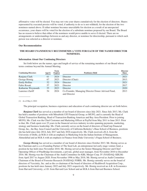affirmative votes will be elected. You may not vote your shares cumulatively for the election of directors. Shares represented by executed proxies will be voted, if authority to do so is not withheld, for the election of the two nominees named above. If either nominee becomes unavailable for election as a result of an unexpected occurrence, your shares will be voted for the election of a substitute nominee proposed by our Board. The Board has no reason to believe that either of the nominees would prove unable to serve if elected. There are no arrangements or understandings between us and any director, or nominee for directorship, pursuant to which such person was selected as a director or nominee.

#### <span id="page-13-0"></span>**Our Recommendation**

# **THE BOARD UNANIMOUSLY RECOMMENDS A VOTE FOR EACH OF THE NAMED DIRECTOR NOMINEES.**

## <span id="page-13-1"></span>**Information About Our Continuing Directors**

Set forth below are the names, ages and length of service of the remaining members of our Board whose terms continue beyond the Annual Meeting.

| <b>Continuing Directors</b> | Age(1) | Term<br><b>Expires</b> | <b>Position(s)</b> Held                                           | <b>Director</b><br><b>Since</b> |
|-----------------------------|--------|------------------------|-------------------------------------------------------------------|---------------------------------|
| Ranjana Clark               | 61     | 2024                   | Director                                                          | 2021                            |
| George Hornig               | 67     | 2023                   | Director (Chair)                                                  | 2013                            |
| <b>Emily Rollins</b>        | 52     | 2024                   | Director                                                          | 2021                            |
| Fabio Rosati                | 57     | 2023                   | Director                                                          | 2017                            |
| Katharine Weymouth          | 55     | 2023                   | Director                                                          | 2020                            |
| Laurence Zuriff             | 54     | 2024                   | Co-Founder, Managing Director Donor Advised Fund,<br>and Director | 2013                            |

#### (1) As of May 4, 2022

The principal occupation, business experience and education of each continuing director are set forth below.

*Ranjana Clark* has served as a member of our board of directors since July 2021. Since July 2013, Ms. Clark has held a number of positions with Mitsubishi UFJ Financial Group, or MUFG, and is currently the Head of Global Transaction Banking, Head of Transaction Banking Americas and Bay Area President. Prior to joining MUFG, Ms. Clark was the Chief Customer and Marketing Officer at PayPal from May 2011 to June 2013. Prior to that, Ms. Clark spent over 25 years in the financial services industry in roles spanning payments, marketing, strategy and business leadership. Ms. Clark currently serves on the board of directors of StanCorp Financial Group, Inc., the Bay Area Council and the University of California Berkeley's Haas School of Business, positions she has held since July 2014, July 2017 and July 2016 respectively. Ms. Clark received a B.A. from the University of Delhi, an M.B.A with an emphasis in Marketing from the Indian Institute of Management, Ahmedabad and an M.B.A with an emphasis in Finance from Duke University's Fuqua School of Business.

*George Hornig* has served as a member of our board of directors since October 2013. Mr. Hornig serves as the Chairman and is a co-Founding Partner of The Seed Lab, an entrepreneur-led early-stage venture fund, a position he has held since November 2018. Mr. Hornig served as the Senior Managing Director and Chief Operating Officer of PineBridge Investments, a private, global asset manager, from November 2010 to December 2016. Mr. Hornig was the Chairman of the Audit Committee for KBL Merger Corp. IV (NASDAQ: KBLM) from April 2017 to August 2020. From November 1996 to May 2018, Mr. Hornig served as Audit Committee Chairman of the Board of Forrester Research (NASDAQ: FORR). Mr. Hornig currently serves on the board of directors of Vaxxinity, Inc. and as the co-chairman of the board of directors of Healthwell Acquisition Corp., positions he has held since January 2022 and July 2021 respectively. Mr. Hornig received an A.B. in Economics from Harvard University, a J.D. from Harvard Law School and an M.B.A from Harvard Business School.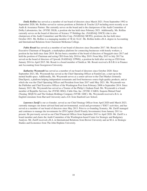*Emily Rollins* has served as a member of our board of directors since March 2021. From September 1992 to September 2020, Ms. Rollins served in various positions at Deloitte & Touche LLP including most recently as an Audit & Assurance Partner. She currently serves on the board and is the chairperson of the Audit Committee of Dolby Laboratories, Inc. (NYSE: DLB), a position she has held since February 2021. Additionally, Ms. Rollins currently serves on the board of directors of Science 37 Holdings Inc. (NASDAQ: SNCE) (she is also chairperson of the Audit Committee) and McAfee Corp. (NASDAQ: MCFE), positions she has held since October 2021. Ms. Rollins is a managing member of 3E & J LLC. Ms. Rollins holds a B.A. degree in Accounting and International Relations from Claremont McKenna College.

*Fabio Rosati* has served as a member of our board of directors since December 2017. Mr. Rosati is the Executive Chairman of Snagajob, a marketplace platform for connecting businesses with hourly workers, a position he has held since June 2019. He has been a member of the board of directors of Snagajob since 2017 and held the position of Chairman and acting CEO from July 2018 to May 2019. From May 2015 to July 2017 he served on the board of directors of Upwork (NASDAQ: UPWK), a position he held after serving as CEO from January 2014 to April 2015. Mr. Rosati is a board member of Smith.ai. Mr. Rosati received a B.S.B.A in Finance and Accounting from Georgetown University.

*Katharine Weymouth* has served as a member of our board of directors since October 2020. Since September 2021, Ms. Weymouth has served as the Chief Operating Officer at FamilyCare, a start-up in the mental health space. Additionally, Ms. Weymouth serves as a senior advisor to the Chef Market (formerly DineXpert), a platform helping independent restaurants and food businesses source high quality products, and at which she was the Chief Operating Officer and President from June 2017 until May 2021. Ms. Weymouth was the Publisher and Chief Executive Officer of the Washington Post from February 2008 to September 2014. Since January 2015, Ms. Weymouth has served as a Trustee of the Philip L Graham Fund. Ms. Weymouth is a board member of Republic Services, Inc (NYSE: RSG), Cable One, Inc. (NYSE: CABO), Sequoia Mutual Fund (Nasdaq: SEQUX) and The Graham Holdings Company (NYSE: GHC). Ms. Weymouth received a B.A. in English Literature from Harvard University and a J.D. from Stanford Law School.

*Laurence Zuriff* is our co-founder, served as our Chief Strategy Officer from April 2020 until March 2023, currently manages our donor advised fund and environmental, social and governance ("ESG") activities, and has served as a member of our board of directors since May 2013. Prior to co-founding Xometry, Mr. Zuriff managed and continues to manage the investments for ZFI Capital (Zuriff Family Investments) from January 2011 to present. He previously served as our Chief Financial Officer from September 2013 to April 2020. Mr. Zuriff is a board member and chairs the Audit Committee of the Washington-based Center for Strategic and Budgetary Analysis. Mr. Zuriff received a B.A. in International Relations from Brown University and an M.A. in Strategic Studies and Economics from The John Hopkins University.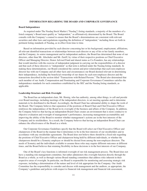## **INFORMATION REGARDING THE BOARD AND CORPORATE GOVERNANCE**

#### <span id="page-15-1"></span><span id="page-15-0"></span>**Board Independence**

As required under The Nasdaq Stock Market ("Nasdaq") listing standards, a majority of the members of a listed company's Board must qualify as "independent," as affirmatively determined by the Board. The Board consults with the Company's counsel to ensure that the Board's determinations are consistent with relevant securities and other laws and regulations regarding the definition of "independent," including those set forth in pertinent listing standards of Nasdaq, as in effect from time to time.

Based on information provided by each director concerning her or his background, employment, affiliations, all relevant identified transactions or relationships between each director or any of his or her family members, and the Company, its senior management and its independent auditors, the Board has determined that none of our directors, other than Mr. Altschuler and Mr. Zuriff, by virtue of their respective positions as Chief Executive Officer and Managing Director, Donor Advised Fund and shared status as Co-Founders, has any relationships that would interfere with the exercise of independent judgment in carrying out the responsibilities of a director and that each of these directors is "independent" as that term is defined under the Nasdaq listing standards. In making these determinations, our Board considered the current and prior relationships that each non-employee director has with our Company and all other facts and circumstances our Board deemed relevant in determining their independence, including the beneficial ownership of our shares by each non-employee director and the transactions described in the section titled "Transactions with Related Persons." The Board also determined that each member of our Audit, Compensation and Nominating and Corporate Governance Committees satisfies the independence standards for such committees established by the SEC and the Nasdaq listing standards, as applicable.

## <span id="page-15-2"></span>**Leadership Structure and Risk Oversight**

The Board has an independent chair, Mr. Hornig, who has authority, among other things, to call and preside over Board meetings, including meetings of the independent directors, to set meeting agendas and to determine materials to be distributed to the Board. Accordingly, the Board Chair has substantial ability to shape the work of the Board. The Company believes that separation of the positions of Board Chair and Chief Executive Officer reinforces the independence of the Board in its oversight of the business and affairs of the Company. In addition, the Company believes that having an independent Board Chair creates an environment that is more conducive to objective evaluation and oversight of management's performance, increasing management accountability and improving the ability of the Board to monitor whether management's actions are in the best interests of the Company and its stockholders. As a result, the Company believes that having an independent Board Chair can enhance the effectiveness of the Board as a whole.

Our Corporate Governance Guidelines specify that the Board will select our Chief Executive Officer and chairperson of the Board in the manner that it determines to be in the best interests of our stockholders and in accordance with any stockholder agreements. The Board does not believe there should be a fixed rule regarding the positions of Chief Executive Officer and chairperson being held by different individuals, or whether the chairperson should be a Xometry employee or should be elected from among the non-employee directors. The needs of Xometry and the individuals available to assume these roles may require different outcomes at different times, and the Board believes that retaining flexibility in these decisions is in the best interests of our Company.

One of the Board's key functions is informed oversight of our risk management process. The Board does not have a standing risk management committee, but rather administers this oversight function directly through the Board as a whole, as well as through various Board standing committees that address risks inherent in their respective areas of oversight. In particular, our Board is responsible for monitoring and assessing strategic risk exposure, including a determination of the nature and level of risk appropriate for the Company. Our Audit Committee has the responsibility to consider and discuss with management and the auditors, as appropriate, the Company's guidelines and policies with respect to financial risk management and financial risk assessment,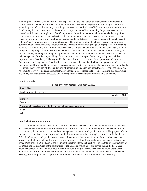including the Company's major financial risk exposures and the steps taken by management to monitor and control these exposures. In addition, the Audit Committee considers management risks relating to data privacy, technology and information security, including cyber security, and back-up of information systems and the steps the Company has taken to monitor and control such exposures as well as overseeing the performance of our internal audit function, as applicable. Our Compensation Committee assesses and monitors whether any of our compensation policies and programs has the potential to encourage excessive risk-taking, including risks related to executive compensation and overall compensation and benefit strategies, plans, arrangements, practices and policies. Our Nominating and Corporate Governance Committee monitors the effectiveness of our corporate governance guidelines, including whether they are successful in preventing illegal or improper liability-creating conduct. The Nominating and Corporate Governance Committee also oversees and reviews with management the Company's major legal compliance risk exposures and the steps management has taken to monitor or mitigate such exposures, including the Company's procedures and any related policies with respect to risk assessment and risk management. It is the responsibility of the committee chairs to report findings regarding material risk exposures to the Board as quickly as possible. In connection with its reviews of the operations and corporate functions of our Company, our Board addresses the primary risks associated with those operations and corporate functions. In addition, our Board reviews the risks associated with our Company's business strategies periodically throughout the year as part of its consideration of undertaking any such business strategies. While the Board and its committees oversee risk management strategy, management is responsible for implementing and supervising day-to-day risk management processes and reporting to the Board and its committees on such matters.

# <span id="page-16-0"></span>**Board Diversity**

| Board Diversity Matrix (as of May 2, 2022)                       |               |             |
|------------------------------------------------------------------|---------------|-------------|
| <b>Board Size:</b>                                               |               |             |
| <b>Total Number of Directors</b>                                 |               | Q           |
|                                                                  | <b>Female</b> | <b>Male</b> |
| Gender:                                                          |               |             |
| Directors                                                        | 4             |             |
| Number of Directors who identify in any of the categories below: |               |             |
| Asian                                                            | 2             |             |
| White                                                            | ⌒             |             |

# <span id="page-16-1"></span>**Board Meetings and Attendance**

The Board oversees our business and monitors the performance of our management. Our executive officers and management oversee our day-to-day operations. Since our initial public offering, the independent directors meet quarterly in executive sessions without management or any non-independent directors. The purpose of these executive sessions is to promote open and candid discussion among the non-employee directors. In fiscal year 2021, the Company's independent non-employee directors met three times in regularly scheduled executive sessions at which only independent directors were present. Our Board held eight meetings during the fiscal year ended December 31, 2021. Each of the incumbent directors attended at least 75 % of the total of the meetings of the Board and the meetings of the committees of the Board on which he or she served during the fiscal year ended December 31, 2021 (in each case, which were held during the period for which he or she was a director and/or a member of the applicable committee). It is our policy to encourage our directors to attend the Annual Meeting. We anticipate that a majority of the members of the Board will attend the Annual Meeting.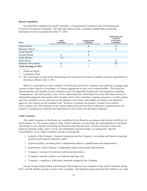# <span id="page-17-0"></span>**Board Committees**

Our Board has established an Audit Committee, a Compensation Committee and a Nominating and Corporate Governance Committee. The following table provides committee membership and meeting information for the year ended December 31, 2021:

| Deborah Bial<br>X<br>X<br>Ranjana Clark(1)<br>Χ<br>Craig Driscoll<br>X<br>George Hornig<br>X<br>X<br><b>Emily Rollins</b><br>$X^{\dagger *}$<br>Fabio Rosati<br>$X^*$<br>X<br>$X^*$<br>Katharine Weymouth<br><b>Total meetings in 2021</b><br>3<br>4 | Name | Audit<br><b>Committee</b> | <b>Compensation</b><br><b>Committee</b> | Nominating and<br>Corporate<br>Governance<br>Committee |
|------------------------------------------------------------------------------------------------------------------------------------------------------------------------------------------------------------------------------------------------------|------|---------------------------|-----------------------------------------|--------------------------------------------------------|
|                                                                                                                                                                                                                                                      |      |                           |                                         |                                                        |
|                                                                                                                                                                                                                                                      |      |                           |                                         |                                                        |
|                                                                                                                                                                                                                                                      |      |                           |                                         |                                                        |
|                                                                                                                                                                                                                                                      |      |                           |                                         |                                                        |
|                                                                                                                                                                                                                                                      |      |                           |                                         |                                                        |
|                                                                                                                                                                                                                                                      |      |                           |                                         |                                                        |
|                                                                                                                                                                                                                                                      |      |                           |                                         |                                                        |
|                                                                                                                                                                                                                                                      |      |                           |                                         |                                                        |

† Financial Expert

Committee Chair

(1) Ms. Clark began serving on the Nominating and Corporate Governance Committee upon her appointment to the Board, effective July 2, 2021.

Below is a description of each committee of the Board. Each of the committees has authority to engage legal counsel or other experts or consultants, as it deems appropriate to carry out its responsibilities. The Board has determined that each member of each committee meets the applicable Nasdaq rules and regulations regarding "independence" and each member is free of any relationship that would impair his or her individual exercise of independent judgment with regard to the Company. Each of the committees operates pursuant to a written charter and each committee reviews and assesses the adequacy of its charter and submits its charter to the Board for approval. The charters are all available in the "Investors–Corporate Governance" section of our website, www.xometry.com. The inclusion of our website address here and elsewhere in this proxy statement does not include or incorporate by reference the information on our website into this proxy statement.

# *Audit Committee*

The Audit Committee of the Board was established by the Board in accordance with Section  $3(a)(58)(A)$  of the Exchange Act. The primary purpose of the Audit Committee is to discharge the responsibilities of our Board with respect to our corporate accounting and financial reporting processes, systems of internal control and financial statement audits, and to oversee our independent registered public accounting firm. Specific responsibilities of our Audit Committee include overseeing the:

- integrity of the Company's financial statements and the Company's accounting and financial reporting processes and financial statement audits;
- registered public accounting firm's (independent auditor's) qualifications and independence;
- performance of the Company's independent auditor and internal audit function;
- Company's systems of disclosure controls and procedures;
- Company's internal controls over financial reporting; and
- Company's compliance with ethical standards adopted by the Company.

George Hornig, Emily Rollins and Katharine Weymouth served as members of the Audit Committee during 2021, with Ms. Rollins serving as Chair of the committee. The Board has determined that Ms. Rollins is an "audit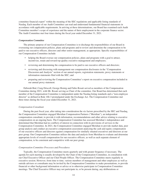committee financial expert" within the meaning of the SEC regulations and applicable listing standards of Nasdaq. Each member of our Audit Committee can read and understand fundamental financial statements in accordance with applicable requirements. In arriving at these determinations, our Board has examined each Audit Committee member's scope of experience and the nature of their employment in the corporate finance sector. The Audit Committee met four times during the fiscal year ended December 31, 2021.

#### *Compensation Committee*

The primary purpose of our Compensation Committee is to discharge the responsibilities of our Board in overseeing our compensation policies, plans and programs and to review and determine the compensation to be paid to our executive officers, directors and other senior management, as appropriate. Specific responsibilities of our Compensation Committee include:

- helping the Board oversee our compensation policies, plans and programs with a goal to attract, incentivize, retain and reward top quality executive management and employees;
- reviewing and determining the compensation to be paid to our executive officers and directors;
- reviewing and discussing with management our compensation disclosures in the "Compensation Discussion and Analysis" section of our annual reports, registration statements, proxy statements or information statements filed with the SEC; and
- preparing and reviewing the Compensation Committee's report on executive compensation included in our annual proxy statement.

Deborah Bial, Craig Driscoll, George Hornig and Fabio Rosati served as members of the Compensation Committee during 2021, with Mr. Rosati serving as Chair of the committee. Our Board has determined that each member of the Compensation Committee is independent under the Nasdaq listing standards and a "non-employee director" as defined in Rule 16b-3 promulgated under the Exchange Act. The Compensation Committee met three times during the fiscal year ended December 31, 2021.

## *Compensation Consultant*

During the past fiscal year, after taking into consideration the six factors prescribed by the SEC and Nasdaq, the Compensation Committee engaged Meridian Compensation Partners ("Meridian"), an independent compensation consultant, to provide it with information, recommendations and other advice relating to executive compensation on an ongoing basis. The Compensation Committee has assessed Meridian's independence and determined that Meridian had no conflicts of interest in connection with its provisions of services to the Compensation Committee. In 2021, the Compensation Committee engaged Meridian to provide market data, peer group analysis and conduct an executive compensation assessment analyzing the cash and equity compensation of our executive officers and directors against compensation for similarly situated executives and directors at our peer group. Our Compensation Committee utilizes the data and analysis from Meridian to evaluate and determine appropriate levels of overall compensation for our executive officers, as well as each separate element of compensation, to be consistent and competitive with our peer group.

#### *Compensation Committee Processes and Procedures*

Typically, the Compensation Committee meets quarterly and with greater frequency if necessary. The agenda for each meeting is usually developed by the Chair of the Compensation Committee, in consultation with our Chief Executive Officer and our Chief People Officer. The Compensation Committee meets regularly in executive session. However, from time to time, various members of management and other employees as well as outside advisers or consultants may be invited by the Compensation Committee to make presentations, to provide financial or other background information or advice or to otherwise participate in Compensation Committee meetings. The Chief Executive Officer may not participate in, or be present during, any deliberations or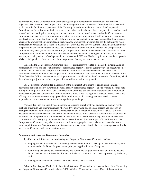determinations of the Compensation Committee regarding his compensation or individual performance objectives. The charter of the Compensation Committee grants the Compensation Committee full access to all books, records, facilities and personnel of the Company. In addition, under the charter, the Compensation Committee has the authority to obtain, at our expense, advice and assistance from compensation consultants and internal and external legal, accounting or other advisers and other external resources that the Compensation Committee considers necessary or appropriate in the performance of its duties. The Compensation Committee has direct responsibility for the oversight of the work of any consultants or advisers engaged for the purpose of advising the Compensation Committee. In particular, the Compensation Committee has the authority to retain compensation consultants to assist in its evaluation of executive and director compensation, including authority to approve the consultant's reasonable fees and other retention terms. Under the charter, the Compensation Committee may select, or receive advice from, a compensation consultant, legal counsel or other adviser to the Compensation Committee, other than in-house legal counsel and certain other types of advisers, only after assessing the independence of such person in accordance with SEC and Nasdaq requirements that bear upon the adviser's independence; however, there is no requirement that any adviser be independent.

Generally, the Compensation Committee's process comprises two related elements: the determination of compensation levels and the establishment of performance objectives for the current year. For executives other than the Chief Executive Officer, our Compensation Committee solicits and considers evaluations and recommendations submitted to the Compensation Committee by the Chief Executive Officer. In the case of the Chief Executive Officer, the evaluation of his performance is conducted by the Compensation Committee, which determines any adjustments to his compensation as well as awards to be granted.

Our Compensation Committee makes most of the significant adjustments to annual compensation, determines bonus and equity awards and establishes new performance objectives at one or more meetings held during the first quarter of the year. Our Compensation Committee also considers matters related to individual compensation, such as compensation for new executive hires, as well as high-level strategic issues, such as the efficacy of our compensation strategy, potential modifications to that strategy and new trends, plans or approaches to compensation, at various meetings throughout the year.

We have designed our executive compensation policies to attract, motivate and retain a team of highlyqualified executives and other individuals who will drive innovation and business success and establish an appropriate relationship between executive compensation and the creation of stockholder value. To inform executive compensation decisions and ensure the competitiveness of our executive compensation programs and decisions, our Compensation Committee benchmarks our executive compensation against the total executive compensation of a peer group of companies. For all executives and directors as part of its deliberations, the Compensation Committee may also review and consider, as appropriate, materials such as executive stock ownership information, Company stock performance data, analyses of historical executive compensation levels and current Company-wide compensation levels.

## *Nominating and Corporate Governance Committee*

Specific responsibilities of our Nominating and Corporate Governance Committee include:

- helping the Board oversee our corporate governance functions and develop, update as necessary and recommend to the Board the governance principles applicable to the Company;
- identifying, evaluating and recommending and communicating with candidates qualified to become Board members or nominees for directors of the Board consistent with criteria approved by the Board; and
- making other recommendations to the Board relating to the directors.

Deborah Bial, Ranjana Clark, Fabio Rosati and Katharine Weymouth served as members of the Nominating and Corporate Governance Committee during 2021, with Ms. Weymouth serving as Chair of the committee.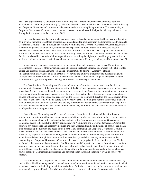Ms. Clark began serving as a member of the Nominating and Corporate Governance Committee upon her appointment to the Board, effective July 2, 2021. Our Board has determined that each member of the Nominating and Corporate Governance Committee is independent under the Nasdaq listing standards. The Nominating and Corporate Governance Committee was constituted in connection with our initial public offering and met one time during the fiscal year ended December 31, 2021.

Our Board determines the appropriate characteristics, skills and experience for the Board as a whole and for its individual members. The Board considers recommendation for nominees from the Nominating and Corporate Governance Committee. The Board, and in turn the Nominating and Corporate Governance Committee, consider the minimum general criteria below, and may add any specific additional criteria with respect to specific searches, in selecting candidates and existing directors for serving on the Board. An acceptable candidate may not fully satisfy all of the criteria, but is expected to satisfy nearly all of them. The Board believes that candidates for director should have certain minimum qualifications, including the highest personal integrity and ethics, the ability to read and understand basic financial statements, understand Xometry's industry and being older than 21.

In considering candidates recommended by the Nominating and Corporate Governance Committee, the Board intends to consider other factors, such as: (i) possessing relevant expertise upon which to be able to offer advice and guidance to management; (ii) having sufficient time to devote to Xometry's affairs; (iii) demonstrating excellence in his or her field; (iv) having the ability to exercise sound business judgment; (v) experience as a board member or executive officer of another publicly held company; and (vi) having the commitment to rigorously represent the long-term interests of Xometry's stakeholders.

The Board and the Nominating and Corporate Governance Committee review candidates for director nomination in the context of the current composition of the Board, our operating requirements and the long-term interests of Xometry's stakeholders. In conducting this assessment, the Board and the Nominating and Corporate Governance Committee consider diversity, age, skills and other factors that it deems appropriate to maintain a balance of knowledge, experience and capability on the Board. For incumbent directors, the Board reviews those directors' overall service to Xometry during their respective terms, including the number of meetings attended, level of participation, quality of performance and any other relationships and transactions that might impair the directors' independence. In the case of new director candidates, the Board also determines whether the nominee is independent for Nasdaq purposes.

Generally, our Nominating and Corporate Governance Committee identifies candidates for director nominees in consultation with management, using search firms or other advisors, through the recommendations submitted by stockholders or through such other methods as the Nominating and Corporate Governance Committee deems to be helpful to identify candidates. The Nominating and Corporate Governance Committee conducts any appropriate and necessary inquiries into the backgrounds and qualifications of possible candidates after considering the function and needs of the Board. The Nominating and Corporate Governance Committee meets to discuss and consider the candidates' qualifications and then selects a nominee for recommendation to the Board by majority vote. The Nominating and Corporate Governance Committee may gather information about the candidates through interviews, questionnaires, background checks or any other means that the Nominating and Corporate Governance Committee deems to be appropriate in the evaluation process. We have no formal policy regarding board diversity. Our Nominating and Corporate Governance Committee's priority in selecting board members is identification of persons who will further the interests of our Company through his or her established record of professional accomplishment, the ability to contribute positively to the collaborative culture among board members, professional and personal experiences and expertise relevant to our growth strategy.

The Nominating and Corporate Governance Committee will consider director candidates recommended by stockholders. The Nominating and Corporate Governance Committee does not intend to alter the manner in which it evaluates candidates, including the minimum criteria set forth above, based on whether or not the candidate was recommended by a stockholder. Stockholders who wish to recommend individuals for consideration by the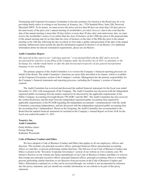Nominating and Corporate Governance Committee to become nominees for election to the Board may do so by providing timely notice in writing to our Secretary at Xometry, Inc., 7529 Standish Place, Suite 200, Derwood, Maryland 20855. To be timely, we must receive the notice not less than 90 days nor more than 120 days prior to the anniversary of the prior year's annual meeting of stockholders; *provided*, *however*, that in the event that the date of the annual meeting is more than 30 days before or more than 30 days after such anniversary date, we must receive the stockholder's notice (i) no earlier than the close of business on the 120th day prior to the proposed date of the annual meeting and (ii) no later than the close of business on the later of the 90th day prior to the annual meeting or the 10th day following the day on which we first make a public announcement of the date of the annual meeting. Submissions must include the specific information required in Section 5 of our Bylaws. For additional information about our director nomination requirements, please see our Bylaws.

#### <span id="page-21-0"></span>**Audit Committee Report**

*The material in this report is not "soliciting material," is not deemed filed with the SEC and is not to be incorporated by reference in any filing of the Company under the Securities Act of 1933, as amended, or the Exchange Act, whether made before or after the date hereof and irrespective of any general incorporation language in any such filing.*

The primary purpose of the Audit Committee is to oversee the Company's financial reporting processes on behalf of the Board. The Audit Committee's functions are more fully described in its charter, which is available on the Corporate Governance section of the Company's website. Management has the primary responsibility for the Company's financial statements and reporting processes, including the Company's systems of internal controls.

The Audit Committee has reviewed and discussed the audited financial statements for the fiscal year ended December 31, 2021 with management of the Company. The Audit Committee has discussed with the independent registered public accounting firm the matters required to be discussed by the applicable requirements of the Public Company Accounting Oversight Board ("PCAOB") and the SEC. The Audit Committee has also received the written disclosures and the letter from the independent registered public accounting firm required by applicable requirements of the PCAOB regarding the independent accountants' communications with the Audit Committee concerning independence, and has discussed with the independent registered public accounting firm the accounting firm's independence. Based on the foregoing, the Audit Committee has recommended to the Board that the audited financial statements be included in the Company's Annual Report on Form 10-K for the fiscal year ended December 31, 2021.

# **Xometry, Inc. Audit Committee**

Emily Rollins (chair) George Hornig Katharine Weymouth

# <span id="page-21-1"></span>**Code of Business Conduct and Ethics**

We have adopted a Code of Business Conduct and Ethics that applies to all our employees, officers and directors. This includes our principal executive officer, principal financial officer and principal accounting officer or controller, or persons performing similar functions. The full text of our Code of Business Conduct and Ethics is posted on the "Investors–Corporate Governance" section of our website at www.xometry.com. We intend to disclose on our website any future amendments of our Code of Business Conduct and Ethics or waivers that exempt any principal executive officer, principal financial officer, principal accounting officer or controller, persons performing similar functions or our directors from provisions in the Code of Business Conduct and Ethics. Information contained on, or that can be accessed through, our website is not incorporated by reference into this proxy statement, and you should not consider information on our website to be part of this proxy statement.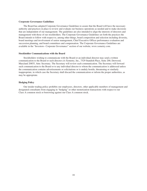## <span id="page-22-0"></span>**Corporate Governance Guidelines**

The Board has adopted Corporate Governance Guidelines to assure that the Board will have the necessary authority and practices in place to review and evaluate our business operations as needed and to make decisions that are independent of our management. The guidelines are also intended to align the interests of directors and management with those of our stockholders. The Corporate Governance Guidelines set forth the practices the Board intends to follow with respect to, among other things, board composition and selection including diversity, board meetings and involvement of senior management, Chief Executive Officer performance evaluation and succession planning, and board committees and compensation. The Corporate Governance Guidelines are available in the "Investors– Corporate Governance" section of our website, www.xometry.com.

## <span id="page-22-1"></span>**Stockholder Communications with the Board**

Stockholders wishing to communicate with the Board or an individual director may send a written communication to the Board or such director c/o Xometry, Inc., 7529 Standish Place, Suite 200, Derwood, Maryland 20855, Attn: Secretary. The Secretary will review each communication. The Secretary will forward such communication to the Board or to any individual director to whom the communication is addressed unless the communication contains advertisements or solicitations or is unduly hostile, threatening or similarly inappropriate, in which case the Secretary shall discard the communication or inform the proper authorities, as may be appropriate.

# <span id="page-22-2"></span>**Hedging Policy**

Our insider trading policy prohibits our employees, directors, other applicable members of management and designated consultants from engaging in "hedging" or other monetization transactions with respect to our Class A common stock or borrowing against our Class A common stock.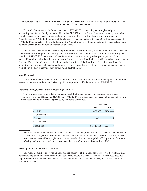# **PROPOSAL 2: RATIFICATION OF THE SELECTION OF THE INDEPENDENT REGISTERED PUBLIC ACCOUNTING FIRM**

<span id="page-23-0"></span>The Audit Committee of the Board has selected KPMG LLP as our independent registered public accounting firm for the fiscal year ending December 31, 2022 and has further directed that management submit the selection of its independent registered public accounting firm for ratification by the stockholders at the Annual Meeting. KPMG LLP has audited the Company's financial statements since 2015. Representatives of KPMG LLP are expected to be available during the Annual Meeting with the opportunity to make a statement if he or she desires and to respond to appropriate questions.

Our organizational documents do not require that the stockholders ratify the selection of KPMG LLP as our independent registered public accounting firm. However, the Audit Committee of the Board is submitting the selection of KPMG LLP to the stockholders for ratification as a matter of good corporate practice. If the stockholders fail to ratify the selection, the Audit Committee of the Board will reconsider whether or not to retain that firm. Even if the selection is ratified, the Audit Committee of the Board in its discretion may direct the appointment of different independent auditors at any time during the year if they determine that such a change would be in the best interests of the Company and its stockholders.

## <span id="page-23-1"></span>**Vote Required**

The affirmative vote of the holders of a majority of the shares present or represented by proxy and entitled to vote on the matter at the Annual Meeting will be required to ratify the selection of KPMG LLP.

#### <span id="page-23-2"></span>**Independent Registered Public Accounting Firm Fees**

The following table represents the aggregate fees billed to the Company for the fiscal years ended December 31, 2021 and December 31, 2020 by KPMG LLP, our independent registered public accounting firm. All fees described below were pre-approved by the Audit Committee.

|                    | <b>Fiscal Year</b> |           |
|--------------------|--------------------|-----------|
|                    | 2021               | 2020      |
| Audit Fees $(1)$   | \$1,679,963        | \$170,000 |
| Audit-related fees |                    |           |
| Tax fees           | 46,652             | 34,743    |
| All other fees     |                    |           |
| <b>Total Fees</b>  | \$1,726,615        | \$204,743 |
|                    |                    |           |

(1) Audit fees relate to the audit of our annual financial statements, review of interim financial statements and assistance with registration statements filed with the SEC. In fiscal year 2021, \$962,000 of the audit fees were in connection with our registration statements related to our initial public offering and our follow-on offering, including comfort letters, consents and review of documents filed with the SEC.

# <span id="page-23-3"></span>**Pre-Approval Policies and Procedures**

Our Audit Committee approves all audit and pre-approves all non-audit services provided by KPMG LLP before it is engaged by us to render non-audit services to ensure that the provision of these services does not impair the auditor's independence. These services may include audit-related services, tax services and other non-audit services.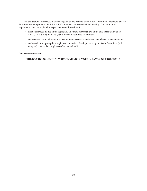The pre-approval of services may be delegated to one or more of the Audit Committee's members, but the decision must be reported to the full Audit Committee at its next scheduled meeting. The pre-approval requirement does not apply with respect to non-audit services if:

- all such services do not, in the aggregate, amount to more than 5% of the total fees paid by us to KPMG LLP during the fiscal year in which the services are provided;
- such services were not recognized as non-audit services at the time of the relevant engagement; and
- such services are promptly brought to the attention of and approved by the Audit Committee (or its delegate) prior to the completion of the annual audit.

# <span id="page-24-0"></span>**Our Recommendation**

**THE BOARD UNANIMOUSLY RECOMMENDS A VOTE IN FAVOR OF PROPOSAL 2.**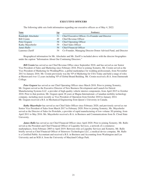# **EXECUTIVE OFFICERS**

<span id="page-25-0"></span>

| Name                | Age | Position(s)                                                    |
|---------------------|-----|----------------------------------------------------------------|
| Randolph Altschuler | 51  | Chief Executive Officer, Co-Founder and Director               |
| Bill Cronin         | 49  | Chief Revenue Officer                                          |
| Peter Goguen        | 58  | <b>Chief Operating Officer</b>                                 |
| Kathy Mayerhofer    |     | <b>Chief Sales Officer</b>                                     |
| James Rallo         |     | <b>Chief Financial Officer</b>                                 |
| Laurence Zuriff     | 54  | Co-Founder, Managing Director Donor Advised Fund, and Director |

The following table sets forth information regarding our executive officers as of May 4, 2022:

Biographical information for Mr. Altschuler and Mr. Zuriff is included above with the director biographies under the caption "Information About Our Continuing Directors."

*Bill Cronin* has served as our Chief Revenue Office since September 2018, and has served as our Senior Vice President of Sales and Marketing since February 2016. Prior to joining Xometry, Mr. Cronin served as the Vice President of Marketing for WeddingWire, a global marketplace for wedding professionals, from November 2013 to January 2016. Mr. Cronin previously was the VP of Marketing for USA Today and held a range of roles at Mastercard over 12 years including VP of Global Brand Building. Mr. Cronin received a B.A. from Dartmouth College.

*Peter Goguen* has served as our Chief Operating Officer since March 2018. Prior to joining Xometry, Mr. Goguen served as the Executive Director of New Business Development and Launch for Detroit Manufacturing Systems LLC, a provider of high-quality vehicle interior components, from April 2015 to October 2018. Prior to that position, Mr. Goguen spent 28 years at Magna International, a Canadian mobility technology company, including most recently as Vice President of Operation from October 2010 to January 2014. Mr. Goguen received a B.S. in Mechanical Engineering from Queen's University in Canada.

*Kathy Mayerhofer* has served as our Chief Sales Officer since February 2020, and previously served as our Senior Vice President of Sales from March 2017 to February 2020. Prior to joining Xometry, Ms. Mayerhofer served as the Director of Sales for Protolabs, a provider of rapid manufacturing of low-volume 3D printing, from April 2011 to May 2016. Ms. Mayerhofer received a B.A. in Business and Communications from St. Cloud State University.

*James Rallo* has served as our Chief Financial Officer since April 2020. Prior to joining Xometry, Mr. Rallo served as the President and Chief Financial Officer of Liquidity Services, a network of e-commerce marketplaces, from February 2005 to April 2019. Between roles at Liquidity Services and Xometry, Mr. Rallo briefly served as Chief Financial Officer of Stimwave Technologies LLC, a medical device company. Mr. Rallo is a Certified Public Accountant and received a B.S. in Business and Accounting from Washington and Lee University and an M.B.A. from the University of Maryland College Park.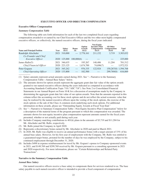# **EXECUTIVE OFFICER AND DIRECTOR COMPENSATION**

# <span id="page-26-1"></span><span id="page-26-0"></span>**Executive Officer Compensation**

# *Summary Compensation Table*

The following table sets forth information for each of the last two completed fiscal years regarding compensation awarded to or earned by our Chief Executive Officer and the two other most highly compensated executive officers, or collectively, the named executive officers, during the fiscal years indicated:

| <b>Name and Principal Position</b>               | Year | <b>Salary</b><br>$($ \$ $)(1)$ | <b>Bonus</b><br>$(\$)$        | Option<br>Awards<br>\$)(2) | <b>Non-Equity</b><br><b>Incentive Plan</b><br>Compensation<br>$\$)(3)$ | All Other<br>Compensation<br>\$)(4) | <b>Total</b><br>\$) |
|--------------------------------------------------|------|--------------------------------|-------------------------------|----------------------------|------------------------------------------------------------------------|-------------------------------------|---------------------|
| Randolph Altschuler                              |      | 2021 310,000                   |                               | $-2,778,161$               | 211,152                                                                | 3.719                               | 3,303,032           |
| Co-Founder and Chief<br><i>Executive Officer</i> |      | 2020 125,000                   | 100,000(6)                    |                            |                                                                        |                                     | 225,000             |
| James Ral $lo(5)$                                |      | 2021 346,635                   | $\overbrace{\phantom{aaaaa}}$ | 195,267                    | 148,406                                                                | 11.204                              | 701,512             |
| Chief Financial Officer                          |      | 2020 223,125                   |                               | $-1,674,700$               | 74,696(7)                                                              |                                     | 1,972,521           |
| Peter Goguen                                     | 2021 | 345,242                        | $\hspace{0.05cm}$             | 976,335                    | 122,924                                                                | 150,267(8) 1,594,768                |                     |
| Chief Operating Officer                          |      | 2020 133,800                   |                               | 182,500                    |                                                                        | 299,769(8)                          | 616,069             |

(1) Salary amounts represent actual amounts earned during 2021. See "—Narrative to the Summary Compensation Table—Annual Base Salary" below.

- (2) The amounts shown for option awards represent the aggregate grant date fair value of the option awards granted to our named executive officers during the years indicated as computed in accordance with Accounting Standards Codification Topic 718 ("ASC 718"). See Note 2 to Consolidated Financial Statements in our Annual Report on Form 10-K for a discussion of assumptions made by the Company in determining the aggregate grant date fair value of our option awards. Note that the amounts reported in this column reflect the accounting cost for these stock options and do not reflect the actual economic value that may be realized by the named executive officers upon the vesting of the stock options, the exercise of the stock options or the sale of the Class A common stock underlying such stock options. For additional information on these awards, please see "Outstanding Equity Awards at Fiscal Year-End."
- (3) See "—Narrative to Summary Compensation Table—Non-Equity Incentive Plan Compensation" below for a description of the material terms of the program pursuant to which this compensation was awarded. The amounts shown for non-equity incentive plan compensation represent amounts earned for the fiscal years presented, whether or not actually paid during such year.
- (4) Includes Company matching contributions to 401(k) plans in the amounts of \$3,719 and \$11,204 for Mr. Altschuler and Mr. Rallo, respectively.
- (5) Mr. Rallo joined the Company in April 2020.
- (6) Represents a discretionary bonus earned by Mr. Altschuler in 2020 and paid in March 2021.
- (7) In 2020, Mr. Rallo was eligible to receive an annual performance bonus with a target amount of 33% of his annual base salary. However, for his first year of employment with the Company, Mr. Rallo was entitled to a guaranteed target bonus, prorated for the number of days he was employed by the Company, subject to his continued employment through December 31, 2020.
- (8) Includes \$498 in expense reimbursement for travel by Mr. Goguen's spouse to Company-sponsored events in 2021, and \$149,769 and \$299,769 received by Mr. Goguen pursuant to a consulting agreement in 2021 and 2020 respectively. For more information, please see "Certain Relationships and Related Party Transactions".

# <span id="page-26-2"></span>**Narrative to the Summary Compensation Table**

# *Annual Base Salary*

Our named executive officers receive a base salary to compensate them for services rendered to us. The base salary payable to each named executive officer is intended to provide a fixed component of compensation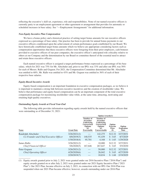reflecting the executive's skill set, experience, role and responsibilities. None of our named executive officers is currently party to an employment agreement or other agreement or arrangement that provides for automatic or scheduled increases in base salary. See "—Employment Arrangements" for additional information.

## *Non-Equity Incentive Plan Compensation*

We have a bonus policy and a historical practice of setting target bonus amounts for our executive officers expressed as a percentage of base salary. Our practice has been to provide for annual bonus payments to our executive officers conditioned upon the achievement of certain performance goals established by our Board. We have historically established target bonus amounts which we believe are appropriate considering factors such as compensation opportunities that these executive officers were foregoing from their prior employers, cash bonuses provided to executive officers of our peer companies, the executive officer's anticipated role criticality relative to others at our Company and the determination by our Board or committee thereof of the essential need to attract and retain these executive officers.

Each named executive officer is assigned a target performance bonus expressed as a percentage of his base salary, which for 2021 was 75% for Mr. Altschuler and, prior to our IPO, was 33% and after our IPO, was 50% for each of Messrs. Rallo and Goguen. For 2021, the Compensation Committee determined that Mr. Altschuler was entitled to 68%, Mr. Rallo was entitled to 43% and Mr. Goguen was entitled to 36% of each of their respective base salaries.

#### *Equity-Based Incentive Awards*

Equity-based compensation is an important foundation in executive compensation packages, as we believe it is important to maintain a strong link between executive incentives and the creation of stockholder value. We believe that performance and equity-based compensation can be an important component of the total executive compensation package for maximizing stockholder value while, at the same time, attracting, motivating and retaining high-quality executives.

#### *Outstanding Equity Awards at Fiscal Year-End*

The following table provides information regarding equity awards held by the named executive officers that were outstanding as of December 31, 2021:

|                                                               |                                              |                                                                                                                 | <b>Option Awards(1)</b>                                                                                           |                                              |                                     |
|---------------------------------------------------------------|----------------------------------------------|-----------------------------------------------------------------------------------------------------------------|-------------------------------------------------------------------------------------------------------------------|----------------------------------------------|-------------------------------------|
| Name                                                          | <b>Grant Date</b>                            | Number of<br><b>Securities</b><br>Underlying<br><b>Unexercised</b><br><b>Options</b><br>#<br><b>Exercisable</b> | Number of<br><b>Securities</b><br><b>Underlying</b><br><b>Unexercised</b><br><b>Options</b><br>#<br>Unexercisable | Option<br><b>Exercise</b><br>Price<br>$(\$)$ | Option<br><b>Expiration</b><br>Date |
| Randolph Altschuler<br>Co-Founder and Chief Executive Officer | 3/26/2021(2)<br>8/8/2019(3)<br>1/30/2018(4)  | 140,535<br>95,701                                                                                               | 142,275<br>91,439<br>4,168                                                                                        | \$12.32<br>\$3.65<br>\$1.65                  | 3/27/2031<br>8/7/2029<br>1/29/2028  |
| James Rallo<br>Chief Financial Officer                        | 3/26/2021(2)<br>5/6/2020(5)                  | 167,646                                                                                                         | 10,000<br>267,647                                                                                                 | \$12.32<br>\$3.65                            | 3/27/2031<br>5/5/2030               |
| Peter Goguen<br>Chief Operating Officer                       | 3/26/2021(2)<br>4/28/2020(6)<br>2/20/2019(7) |                                                                                                                 | 50,000<br>26,042<br>10.834                                                                                        | \$12.32<br>\$3.65<br>\$1.68                  | 3/27/2031<br>4/27/2030<br>2/19/2029 |

(1) Equity awards granted prior to July 2, 2021 were granted under our 2016 Incentive Plan ("2016 Plan") and equity awards granted on or after July 2, 2021 were granted under our 2021 Equity Incentive Plan ("2021 Plan"). Our 2021 Plan, became effective on July 2, 2021, in connection with our IPO. Our 2016 Plan was suspended when our 2021 Plan became effective; however, awards outstanding under our 2016 Plan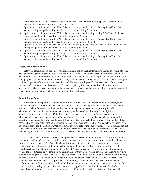continue in full effect in accordance with their existing terms. All vesting is subject to the individual's continuous service with us through the vesting dates.

- (2) Options vest over four years, with 25% of the total shares granted vesting on January 1, 2022 and the balance vesting in equal monthly installments over the remaining 36 months.
- (3) Options vest over four years, with 25% of the total shares granted vesting on May 2, 2020 and the balance vesting in equal monthly installments over the remaining 36 months.
- (4) Options vest over four years, with 25% of the total shares granted vesting on January 1, 2019 and the balance vesting in equal monthly installments over the remaining 36 months.
- (5) Options vest over four years, with 25% of the total shares granted vesting on April 13, 2021 and the balance vesting in equal monthly installments over the remaining 36 months.
- (6) Options vest over four years, with 25% of the total shares granted vesting on January 1, 2021 and the balance vesting in equal monthly installments over the remaining 36 months.
- (7) Options vest over four years, with 25% of the total shares granted vesting on January 1, 2020 and the balance vesting in equal monthly installments over the remaining 36 months.

#### <span id="page-28-0"></span>**Employment Arrangements**

Below are descriptions of our employment agreements and arrangements with our named executive officers. The agreements generally provide for at-will employment without any specific term and set forth the named executive officer's initial base salary, annual target bonus and severance benefits upon a qualifying termination of employment or change in control of our Company. Each named executive officer is also eligible to participate in all employee benefit plans that are generally available to our employees. Furthermore, each of our named executive officers has executed our standard form of proprietary information and inventions assignment agreement. The key terms of the employment agreements with our named executive officers, including potential payments upon termination or change in control, are described below.

## *Randolph Altschuler*

We maintain an employment agreement with Randolph Altschuler in connection with his employment as our Chief Executive Officer which was entered into in July 2021. The employment agreement has no specific term and provides for at-will employment. Pursuant to his agreement, commencing on July 1, 2021, Mr. Altschuler is entitled to an initial annual base salary of \$420,000. Additionally, he is eligible to receive an annual performance bonus of up to 75% of his annual base salary, based on our Board's assessment of Mr. Altschuler's performance and our attainment of targeted goals over the applicable calendar year, with the exception of any annual performance bonus attributable to 2021 which shall be prorated for the number of days between the effective date of the employment agreement and December 31, 2021. Mr. Altschuler's eligibility for any annual bonus for the portion of 2021 prior to the effective date of the employment agreement remains subject to the terms in effect for such time period. In addition, pursuant to the employment agreement, Mr. Altschuler remains eligible to be considered for future equity awards as may be determined at the discretion of our Board.

Pursuant to Mr. Altschuler's employment agreement, if he resigns for Good Reason or we terminate his employment without Cause (each as defined in his employment agreement) not in connection with a Change in Control (as defined in the 2021 Plan), then he will be eligible to receive the following severance benefits: (1) twelve months of base salary, less applicable tax withholdings and paid in accordance with our regular payroll practices; and (2) up to twelve months of COBRA premiums paid by us. In addition, if Mr. Altschuler resigns for Good Reason or we terminate his employment without Cause within three months prior to or twelve months following the effective date of a Change in Control, then he will also be eligible to receive the following severance benefits: (1) an amount equal to his full target annual performance bonus for the calendar year in which his termination occurs, less applicable tax withholdings; (2) an amount equal to his prorated annual performance bonus for the calendar year in which his termination occurs, calculated based on the number of days he was employed during the applicable calendar year, less applicable tax withholdings; and (3) all of the outstanding and unvested time-based equity awards he held immediately prior to his termination date will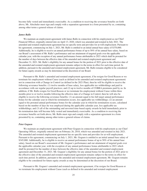become fully vested and immediately exercisable. As a condition to receiving the severance benefits set forth above, Mr. Altschuler must sign and comply with a separation agreement in a form presented by us, containing among other terms a general release of claims.

# *James Rallo*

We maintain an employment agreement with James Rallo in connection with his employment as our Chief Financial Officer, originally entered into on April 13, 2020, which was amended and restated in July 2021. The amended and restated employment agreement has no specific term and provides for at-will employment. Pursuant to his agreement, commencing on July 1, 2021, Mr. Rallo is entitled to an initial annual base salary of \$370,000. Additionally, he is eligible to receive an annual performance bonus of up to 50% of his annual base salary, based on our Board's assessment of Mr. Rallo's performance and our attainment of targeted goals over the applicable calendar year, with the exception of any annual performance bonus attributable to 2021 which shall be prorated for the number of days between the effective date of the amended and restated employment agreement and December 31, 2021. Mr. Rallo's eligibility for any annual bonus for the portion of 2021 prior to the effective date of the amended and restated employment agreement remains subject to the terms in effect for such time period. In addition, pursuant to the amended and restated employment agreement, Mr. Rallo remains eligible to be considered for future equity awards as may be determined at the discretion of our Board.

Pursuant to Mr. Rallo's amended and restated employment agreement, if he resigns for Good Reason or we terminate his employment without Cause (each as defined in his amended and restated employment agreement) not in connection with a Change in Control (as defined in the 2021 Plan), then he will be eligible to receive the following severance benefits: (1) twelve months of base salary, less applicable tax withholdings and paid in accordance with our regular payroll practices; and (2) up to twelve months of COBRA premiums paid by us. In addition, if Mr. Rallo resigns for Good Reason or we terminate his employment without Cause within three months prior to or twelve months following the effective date of a Change in Control, then he will also be eligible to receive the following severance benefits: (1) an amount equal to his full target annual performance bonus for the calendar year in which his termination occurs, less applicable tax withholdings; (2) an amount equal to his prorated annual performance bonus for the calendar year in which his termination occurs, calculated based on the number of days he was employed during the applicable calendar year, less applicable tax withholdings; and (3) all of the outstanding and unvested time-based equity awards he held immediately prior to his termination date will become fully vested and immediately exercisable. As a condition to receiving the severance benefits set forth above, Mr. Rallo must sign and comply with a separation agreement in a form presented by us, containing among other terms a general release of claims.

# *Peter Goguen*

We maintain an employment agreement with Peter Goguen in connection with his employment as our Chief Operating Officer, originally entered into on February 26, 2018, which was amended and restated in July 2021. The amended and restated employment agreement has no specific term and provides for at-will employment. Pursuant to his agreement, commencing on July 1, 2021, Mr. Goguen is entitled to an initial annual base salary of \$345,000. Additionally, he is eligible to receive an annual performance bonus of up to 50% of his annual base salary, based on our Board's assessment of Mr. Goguen's performance and our attainment of targeted goals over the applicable calendar year, with the exception of any annual performance bonus attributable to 2021 which shall be prorated for the number of days between the effective date of the amended and restated employment agreement and December 31, 2021. Mr. Goguen's eligibility for any annual bonus for the portion of 2021 prior to the effective date of the amended and restated employment agreement remains subject to the terms in effect for such time period. In addition, pursuant to the amended and restated employment agreement, Mr. Goguen remains eligible to be considered for future equity awards as may be determined at the discretion of our Board.

Pursuant to Mr. Goguen's amended and restated employment agreement, if he resigns for Good Reason or we terminate his employment without Cause (each as defined in his amended and restated employment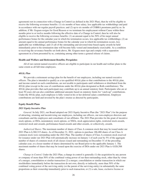agreement) not in connection with a Change in Control (as defined in the 2021 Plan), then he will be eligible to receive the following severance benefits: (1) six months of base salary, less applicable tax withholdings and paid in accordance with our regular payroll practices; and (2) up to six months of COBRA premiums paid by us. In addition, if Mr. Goguen resigns for Good Reason or we terminate his employment without Cause within three months prior to or twelve months following the effective date of a Change in Control, then he will also be eligible to receive the following severance benefits: (1) an amount equal to his 50% of his target annual performance bonus for the calendar year in which his termination occurs, less applicable tax withholdings; (2) an amount equal to his annual performance bonus for the calendar year in which his termination occurs, less applicable tax withholdings; and (3) all of the outstanding and unvested time-based equity awards he held immediately prior to his termination date will become fully vested and immediately exercisable. As a condition to receiving the severance benefits set forth above, Mr. Goguen must sign and comply with a separation agreement in a form presented by us, containing among other terms a general release of claims.

#### <span id="page-30-0"></span>**Health and Welfare and Retirement Benefits; Perquisites**

All of our current named executive officers are eligible to participate in our health and welfare plans to the same extent as all full-time employees.

# *401(k) Plan*

We provide a retirement savings plan for the benefit of our employees, including our named executive officers. The plan is intended to qualify as a tax-qualified  $401(k)$  plan so that contributions to the  $401(k)$  plan, and income earned on such contributions, are not taxable to participants until withdrawn or distributed from the 401(k) plan (except in the case of contributions under the 401(k) plan designated as Roth contributions). The 401(k) plan provides that each participant may contribute up to an annual statutory limit. Participants who are at least 50 years old can also contribute additional amounts based on statutory limits for "catch-up" contributions. Under the 401(k) plan, each employee is fully vested in his or her deferred salary contributions. Employee contributions are held and invested by the plan's trustee as directed by participants.

#### <span id="page-30-1"></span>**Equity Benefit Plans**

# *2021 Equity Incentive Plan*

*General.* In July 2021, our Board adopted our 2021 Equity Incentive Plan (the "2021 Plan") for the purpose of attracting, retaining and incentivizing our employees, including our officers, our non-employee directors and consultants and the employees and consultants of our affiliates. The 2021 Plan provides for the grant of incentive stock options, or ISOs, nonstatutory stock options, or NSOs, stock appreciation rights, restricted stock awards, restricted stock unit awards, performance-based awards and other awards, or collectively, awards.

*Authorized Shares.* The maximum number of shares of Class A common stock that may be issued under our 2021 Plan is 6,360,315 shares. As of December 31, 2021, options to purchase 186,480 shares of our Class A common stock were outstanding under the 2021 Plan. The number of shares of Class A common stock reserved for issuance under our 2021 Plan will automatically increase on January 1 of each year by 5% of the aggregate number of shares of common stock of all classes issued and outstanding on December 31 of the preceding calendar year, or a lesser number of shares determined by our Board prior to the applicable January 1. The maximum number of shares that may be issued upon the exercise of ISOs under our 2021 Plan is 4,026,588 shares.

*Change in Control.* Under the 2021 Plan, a change in control is generally (1) the acquisition by any person or company of more than 50% of the combined voting power of our then-outstanding stock, other than by virtue of a merger, consolidation or similar transaction (2) a merger, consolidation or similar transaction in which our stockholders immediately before the transaction do not own, directly or indirectly, more than 50% of the combined voting power of the surviving entity (or the parent of the surviving entity) in substantially the same proportions as their ownership immediately prior to such transaction, or (3) a sale, lease, exclusive license or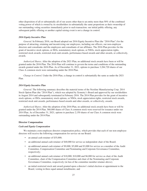other disposition of all or substantially all of our assets other than to an entity more than 50% of the combined voting power of which is owned by its stockholders in substantially the same proportions as their ownership of our outstanding voting securities immediately prior to such transaction. our initial public offering, any subsequent public offering or another capital raising event is not a change in control.

# *2016 Equity Incentive Plan*

*General.* In February 2016, our Board adopted our 2016 Equity Incentive Plan (the "2016 Plan") for the purpose of attracting, retaining and incentivizing our employees, including our officers, our non-employee directors and consultants and the employees and consultants of our affiliates. The 2016 Plan provides for the grant of incentive stock options, or ISOs, nonstatutory stock options, or NSOs, stock appreciation rights, restricted stock awards, restricted stock unit awards, performance-based awards and other awards, or collectively, awards.

*Authorized Shares.* After the adoption of the 2021 Plan, no additional stock awards have been or will be granted under the 2016 Plan. The 2016 Plan will continue to govern the terms and conditions of the outstanding awards granted under the 2016 Plan. As of December 31, 2021, options to purchase 3,284,720 shares of our Class A common stock were outstanding under the 2016 Plan.

*Change in Control.* Under the 2016 Plan, a change in control is substantially the same as under the 2021 Plan.

# *2014 Equity Incentive Plan*

*General.* The following summary describes the material terms of the Nextline Manufacturing Corp. 2014 Stock Option Plan (the "2014 Plan"), which was adopted by Xometry's Board and approved by our stockholders in August 2014 and subsequently terminated in February 2016. The 2014 Plan provides for the grant of incentive stock options, or ISOs, nonstatutory stock options, or NSOs, stock appreciation rights, restricted stock awards, restricted stock unit awards, performance-based awards and other awards, or collectively, awards.

*Authorized Shares.* After the adoption of the 2016 Plan, no additional stock awards have been or will be granted under the 2014 Plan. 560,000 shares of Class A common stock were reserved for issuance under our 2014 Plan. As of December 31, 2021, options to purchase 2,150 shares of our Class A common stock were outstanding under the 2014 Plan.

## <span id="page-31-0"></span>**Director Compensation**

#### *Cash and Equity Compensation*

We maintain a non-employee director compensation policy, which provides that each of our non-employee directors will receive the following compensation for service on our Board:

- an annual cash retainer of \$35,000;
- an additional annual cash retainer of \$40,000 for service as independent chair of the Board;
- an additional annual cash retainer of \$9,000, \$5,000 and \$3,000 for service as a member of the Audit Committee, Compensation Committee and Nominating and Corporate Governance Committee, respectively;
- an additional annual cash retainer of \$18,000, \$10,000 and \$6,000 for service as chair of the Audit Committee, chair of the Compensation Committee and chair of the Nominating and Corporate Governance Committee, respectively (in lieu of the committee member retainer above);
- an initial restricted stock unit award granted upon a director's initial election or appointment to the Board, vesting in three equal annual installments; and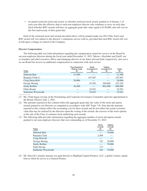• an annual restricted stock unit award, or refresher restricted stock award, granted as of January 1 of each year after the effective date to each non-employee director who continues to serve on such date. Such refresher RSU awards will have an aggregate grant date value equal to \$130,000, and will vest on the first anniversary of their grant date.

Each of the restricted stock unit awards described above will be granted under our 2021 Plan. Each such RSU award will vest subject to the director's continuous service with us, provided that each RSU award will vest in full upon a change in control of the Company.

# *Director Compensation*

The following table sets forth information regarding the compensation earned for service on the Board by our non-employee directors during the fiscal year ended December 31, 2021. Messrs. Altschuler and Zuriff, our co-founders and chief executive officer and managing director of our donor advised fund, respectively, also serve on our Board but receive no additional compensation in connection with such service.

| Name                 | <b>Fees Earned or</b><br>Paid in Cash<br>$\left( \mathbf{S} \right)$ | <b>Stock</b><br>Awards $(2)(3)$<br>$\left( \mathcal{S}\right)$ | Option<br>Awards $(2)(3)$<br>$\left( \mathbf{\$}\right)$ | <b>Total</b><br>$(\$)$ |
|----------------------|----------------------------------------------------------------------|----------------------------------------------------------------|----------------------------------------------------------|------------------------|
| Deborah Bial         | 21,500                                                               |                                                                |                                                          | 21,500                 |
| Ranjana Clark(1)     |                                                                      | 167,667                                                        |                                                          | 167,667                |
| Craig Driscoll(4)    | 20,000                                                               |                                                                |                                                          | 20,000                 |
| George Hornig        |                                                                      | 45,582                                                         | 369,600                                                  | 415,182                |
| <b>Emily Rollins</b> | 26,500                                                               |                                                                | 862,400                                                  | 888,900                |
| Fabio Rosati         |                                                                      | 24,561                                                         |                                                          | 24,561                 |
| Katharine Weymouth   |                                                                      | 25,622                                                         |                                                          | 25,622                 |

(1) Ms. Clark began serving on the Nominating and Corporate Governance Committee upon her appointment to the Board, effective July 2, 2021.

- (2) The amounts reported in this column reflect the aggregate grant date fair value of the stock and option awards granted to our directors as computed in accordance with ASC Topic 718. Note that the amounts reported in this column reflect the accounting cost for these awards and do not reflect the actual economic value that may be realized by the directors upon the vesting of the awards, the exercise of the stock options or the sale of the Class A common stock underlying such awards.
- (3) The following table provides information regarding the aggregate number of stock and option awards granted to our non-employee directors that were outstanding as of December 31, 2021:

| <b>Name</b>          | <b>Stock</b><br>Awards<br>(#) | Option<br>Awards<br>$(\#)$ |
|----------------------|-------------------------------|----------------------------|
| Deborah Bial         |                               | 70,000                     |
| Ranjana Clark        | 2,409                         |                            |
| Craig Driscoll       |                               |                            |
| George Hornig        | 322                           | 30,000                     |
| <b>Emily Rollins</b> |                               | 70,000                     |
| Fabio Rosati         | 173                           |                            |
| Katharine Weymouth   | 181                           | 70,000                     |

(4) Mr. Driscoll's retainer amount was paid directly to Highland Capital Partners, LLC, a global venture capital firm at which he serves as a General Partner.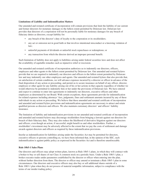## <span id="page-33-0"></span>**Limitations of Liability and Indemnification Matters**

Our amended and restated certificate of incorporation will contain provisions that limit the liability of our current and former directors for monetary damages to the fullest extent permitted by Delaware law. Delaware law provides that directors of a corporation will not be personally liable for monetary damages for any breach of fiduciary duties as directors, except liability for:

- any breach of the director's duty of loyalty to the corporation or its stockholders;
- any act or omission not in good faith or that involves intentional misconduct or a knowing violation of law;
- unlawful payments of dividends or unlawful stock repurchases or redemptions; or
- any transaction from which the director derived an improper personal benefit.

Such limitation of liability does not apply to liabilities arising under federal securities laws and does not affect the availability of equitable remedies such as injunctive relief or rescission.

Our amended and restated certificate of incorporation authorizes us to indemnify our directors, officers, employees and other agents to the fullest extent permitted by Delaware law. Our amended and restated bylaws provide that we are required to indemnify our directors and officers to the fullest extent permitted by Delaware law and may indemnify our other employees and agents. Our amended and restated bylaws that also provide that, on satisfaction of certain conditions, we will advance expenses incurred by a director or officer in advance of the final disposition of any action or proceeding, and permit us to secure insurance on behalf of any officer, director, employee or other agent for any liability arising out of his or her actions in that capacity regardless of whether we would otherwise be permitted to indemnify him or her under the provisions of Delaware law. We have entered and expect to continue to enter into agreements to indemnify our directors, executive officers and other employees as determined by our Board. With certain exceptions, these agreements provide for indemnification for related expenses including attorneys' fees, judgments, fines and settlement amounts incurred by any of these individuals in any action or proceeding. We believe that these amended and restated certificate of incorporation and amended and restated bylaw provisions and indemnification agreements are necessary to attract and retain qualified persons as directors and officers. We also maintain customary directors' and officers' liability insurance.

The limitation of liability and indemnification provisions in our amended and restated certificate of incorporation and amended and restated bylaws may discourage stockholders from bringing a lawsuit against our directors for breach of their fiduciary duty. They may also reduce the likelihood of derivative litigation against our directors and officers, even though an action, if successful, might benefit us and other stockholders. Further, a stockholder's investment may be adversely affected to the extent that we pay the costs of settlement and damage awards against directors and officers as required by these indemnification provisions.

Insofar as indemnification for liabilities arising under the Securities Act may be permitted for directors, executive officers or persons controlling us, we have been informed that, in the opinion of the SEC, such indemnification is against public policy as expressed in the Securities Act and is therefore unenforceable.

# <span id="page-33-1"></span>**Rule 10b5-1 Sales Plans**

Our directors and officers may adopt written plans, known as Rule 10b5-1 plans, in which they will contract with a broker to buy or sell shares of our Class A common stock on a periodic basis. Under a Rule 10b5-1 plan, a broker executes trades under parameters established by the director or officer when entering into the plan, without further direction from them. The director or officer may amend or terminate a Rule 10b5-1 plan in some circumstances. Our directors and executive officers may also buy or sell additional shares outside of a Rule 10b5-1 plan when they do not possess of material nonpublic information, subject to compliance with the terms of our insider trading policy.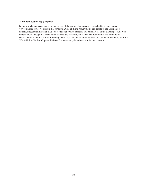# **Delinquent Section 16(a) Reports**

To our knowledge, based solely on our review of the copies of such reports furnished to us and written representations to us, we believe that for fiscal 2021, all filing requirements applicable to the Company's officers, directors and greater than 10% beneficial owners pursuant to Section 16(a) of the Exchanges Act, were complied with, except that Form 3s for officers and directors, other than Ms. Weymouth, and Form 4s for Messrs. Rallo, Cronin, Zuriff and Horning, were filed late due to administrative difficulties immediately after our IPO. Additionally, Mr. Goguen filed one Form 4 one day late due to administrative error.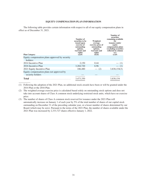# **EQUITY COMPENSATION PLAN INFORMATION**

<span id="page-35-0"></span>The following table provides certain information with respect to all of our equity compensation plans in effect as of December 31, 2021.

| <b>Plan Category</b>                                          | Number of<br>securities to be<br>issued upon<br>exercise of<br>outstanding<br>options,<br>warrants and<br>rights<br>$(a)(\#)$ | Weighted-<br>average<br>exercise price of<br>outstanding<br>options,<br>warrants and<br>rights<br>$(b)(\$)$ | Number of<br>securities<br>remaining available<br>for<br>issuance under<br>equity<br>compensation plans<br>(excluding securities<br>reflected in column<br>(a))<br>(c)(#) |
|---------------------------------------------------------------|-------------------------------------------------------------------------------------------------------------------------------|-------------------------------------------------------------------------------------------------------------|---------------------------------------------------------------------------------------------------------------------------------------------------------------------------|
| Equity compensation plans approved by security                |                                                                                                                               |                                                                                                             |                                                                                                                                                                           |
| holders:                                                      |                                                                                                                               |                                                                                                             |                                                                                                                                                                           |
| 2014 Incentive Plan                                           | 2,150                                                                                                                         | 0.44                                                                                                        | $-$ (1)                                                                                                                                                                   |
| 2016 Incentive Plan                                           | 3,284,720                                                                                                                     | 6.96                                                                                                        | $-$ (1)                                                                                                                                                                   |
| 2021 Equity Incentive Plan                                    | 186,480                                                                                                                       | (2)<br>$\overline{\phantom{m}}$                                                                             | 3,838,154(3)                                                                                                                                                              |
| Equity compensation plans not approved by<br>security holders |                                                                                                                               |                                                                                                             |                                                                                                                                                                           |
| <b>Total</b>                                                  | 3,473,350                                                                                                                     |                                                                                                             | 3,838,154                                                                                                                                                                 |

(1) Following the adoption of the 2021 Plan, no additional stock awards have been or will be granted under the 2014 Plan or the 2016 Plan.

(2) The weighted average exercise price is calculated based solely on outstanding stock options and does not take into account shares of Class A common stock underlying restricted stock units, which have no exercise price.

(3) The number of shares of Class A common stock reserved for issuance under the 2021 Plan will automatically increase on January 1 of each year by 5% of the total number of shares of our capital stock outstanding on December 31 of the preceding calendar year, or a lesser number of shares determined by our Board (which may be zero). Pursuant to the terms of the 2021 Plan, the number of shares available under the 2021 Plan was increased by 2,333,727 shares effective January 1, 2022.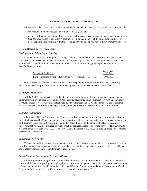# **TRANSACTIONS WITH RELATED PERSONS**

<span id="page-36-0"></span>Below we describe transactions since December 31, 2020 to which we were a party or will be a party, in which:

- the amounts involved exceeded or will exceed \$120,000; and
- any of our directors, executive officers, nominees for election as a director, or beneficial owners of more than 5% of any class of our Class A common stock, or any member of the immediate family of, or person sharing the household with, the foregoing persons, had or will have a direct or indirect interest.

# <span id="page-36-1"></span>**Certain Related-Party Transactions**

# *Participation in Initial Public Offering*

In connection with our initial public offering, which was completed in July 2021, our 5% stockholders purchased 1,000,000 shares of Class A common stock offered by us. Such purchases were made through the underwriters at the initial public offering price of \$44.00 per share for an aggregate purchase price of \$44,000,000 as follows:

| Name of 5% Stockholder                                  | <b>Initial Public</b><br><b>Offering</b> |  |
|---------------------------------------------------------|------------------------------------------|--|
| Entities associated with T. Rowe Price Associates, Inc. | 1.000.000                                |  |

All of these shares were sold to the public at the corresponding public offering price, and the selling stockholders paid all applicable per share underwriting fees and commissions to the underwriters.

## *Exchange Transaction*

On July 2, 2021, in connection with the closing of our initial public offering, we entered into exchange agreements with our co-founders, Randolph Altschuler and Laurence Zuriff, pursuant to which an aggregate of 1,475,311 shares of Class A common stock held by Mr. Altschuler and 1,200,843 shares of Class A common stock held by Mr. Zuriff were exchanged into an equivalent number of shares of Class B common stock.

# *Consulting Agreement*

In February 2018, the Company entered into a consulting agreement with Business Improvement Systems, Inc., which is owned by Peter Goguen, our Chief Operating Officer. Pursuant to the terms of this agreement, we paid Business Improvement Systems, Inc. a monthly consulting fee in the amount of \$11,667. Business Improvement Systems, Inc. provided us with consulting services related to operating services. This agreement was terminated as of January 31, 2021. For the year ended December 31, 2021, we paid Business Improvement Systems, Inc., \$149,769.

#### *Employment Agreements*

We have entered into employment agreements with certain of our executive officers. For more information regarding employment agreements with our named executive officers, see the section titled "Executive Office and Director Compensation—Employment Arrangements."

## *Equity Grants to Directors and Executive Officers*

We have granted stock options and restricted stock units to certain of our directors and executive officers. For more information regarding the stock options and stock awards granted to our directors and named executive officers, see the sections titled "Executive Officer and Director Compensation—Director Compensation" and "Executive Officer and Director Compensation—Executive Compensation."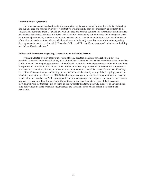# *Indemnification Agreements*

Our amended and restated certificate of incorporation contains provisions limiting the liability of directors, and our amended and restated bylaws provides that we will indemnify each of our directors and officers to the fullest extent permitted under Delaware law. Our amended and restated certificate of incorporation and amended and restated bylaws also provides our Board with discretion to indemnify our employees and other agents when determined appropriate by the board. In addition, we have entered into an indemnification agreement with each of our directors and executive officers, which requires us to indemnify them. For more information regarding these agreements, see the section titled "Executive Officer and Director Compensation—Limitations on Liability and Indemnification Matters."

## <span id="page-37-0"></span>**Policies and Procedures Regarding Transactions with Related Persons**

We have adopted a policy that our executive officers, directors, nominees for election as a director, beneficial owners of more than 5% of any class of our Class A common stock and any members of the immediate family of any of the foregoing persons are not permitted to enter into a related person transaction with us without the approval or ratification of our Board or our Audit Committee. Any request for us to enter into a transaction with an executive officer, director, nominee for election as a director, beneficial owner of more than 5% of any class of our Class A common stock or any member of the immediate family of any of the foregoing persons, in which the amount involved exceeds \$120,000 and such person would have a direct or indirect interest, must be presented to our Board or our Audit Committee for review, consideration and approval. In approving or rejecting any such proposal, our Board or our Audit Committee is to consider the material facts of the transaction, including whether the transaction is on terms no less favorable than terms generally available to an unaffiliated third party under the same or similar circumstances and the extent of the related person's interest in the transaction.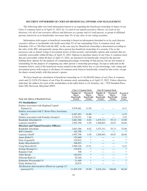#### **SECURITY OWNERSHIP OF CERTAIN BENEFICIAL OWNERS AND MANAGEMENT**

<span id="page-38-0"></span>The following table sets forth information known to us regarding the beneficial ownership of shares of our Class A common stock as of April 15, 2022, by: (i) each of our named executive officers; (ii) each of our directors; (iii) all of our executive officers and directors as a group; and (iv) each person, or group of affiliated persons, known by us to beneficially own more than 5% of any class of our voting securities.

Information with respect to beneficial ownership is based on information furnished to us by each director, executive officer or stockholder who holds more than 5% of our outstanding Class A common stock, and Schedules 13G or 13D filed with the SEC, as the case may be. Beneficial ownership is determined according to the rules of the SEC and generally means that a person has beneficial ownership of a security if he or she possesses sole or shared voting or investment power of that security, and includes options and warrants that are currently exercisable within 60 days of April 15, 2022. Options to purchase shares of our Class A common stock that are exercisable within 60 days of April 15, 2022, are deemed to be beneficially owned by the persons holding these options for the purpose of computing percentage ownership of that person, but are not treated as outstanding for the purpose of computing any other person's ownership percentage. Except as indicated in the footnotes below, each of the beneficial owners named in the table below has, to our knowledge, sole voting and investment power with respect to all shares of common stock listed as beneficially owned by him or her, except for shares owned jointly with that person's spouse.

We have based our calculation of beneficial ownership on  $(1)$  44,269,620 shares of our Class A common stock and (2) 2,676,154 shares of our Class B common stock outstanding as of April 15, 2022. Unless otherwise indicated, the address for each of the stockholders in the table below is c/o Xometry, Inc., 7529 Standish Place, Suite 200, Derwood, Maryland 20855.

|                                                      | <b>Class A Common Stock</b>                                |                                                             | <b>Class B Common Stock</b>                                |                                                                    |                                                      |
|------------------------------------------------------|------------------------------------------------------------|-------------------------------------------------------------|------------------------------------------------------------|--------------------------------------------------------------------|------------------------------------------------------|
| <b>Name and Address of Beneficial Owner</b>          | Number of<br><b>Shares</b><br><b>Beneficially</b><br>Owned | Percent of<br><b>Shares</b><br><b>Beneficially</b><br>Owned | Number of<br><b>Shares</b><br><b>Beneficially</b><br>Owned | <b>Percent of</b><br><b>Shares</b><br><b>Beneficially</b><br>Owned | Percent of<br><b>Total</b><br><b>Voting</b><br>Power |
| 5% Stockholders:                                     |                                                            |                                                             |                                                            |                                                                    |                                                      |
| Entities associated with Highland Capital            |                                                            |                                                             |                                                            |                                                                    |                                                      |
| Partners $(1)$                                       | 5,978,461                                                  | 13.50                                                       |                                                            |                                                                    | 6.11                                                 |
| Entities associated with T. Rowe Price Associates,   |                                                            |                                                             |                                                            |                                                                    |                                                      |
| Inc.(2)                                              | 6,587,261                                                  | 14.88                                                       |                                                            |                                                                    | 6.74                                                 |
| Entities associated with Foundry Group(3)            | 3,276,551                                                  | 7.40                                                        |                                                            |                                                                    | 3.35                                                 |
| Randolph Altschuler(4)                               | 2,663,386                                                  | 6.02                                                        | 1,475,311                                                  | 55.13                                                              | 32.90                                                |
| Laurence Zuriff(5)                                   | 1,992,790                                                  | 4.50                                                        | 1,200,843                                                  | 44.87                                                              | 26.60                                                |
| <b>Directors and Named Executive Officers:</b>       |                                                            |                                                             |                                                            |                                                                    |                                                      |
| Randolph Altschuler                                  | 2,663,386                                                  | 6.02                                                        | 1,475,311                                                  | 55.13                                                              | 32.90                                                |
| Bill Cronin(6)                                       | 162,799                                                    | $\ast$                                                      |                                                            |                                                                    | $\ast$                                               |
| Laurence Zuriff'                                     | 1,992,790                                                  | 4.50                                                        | 1,200,843                                                  | 44.87                                                              | 26.60                                                |
| James Rallo(7)                                       | 155,669                                                    | $\ast$                                                      |                                                            |                                                                    | $\ast$                                               |
| Peter Goguen(8)                                      | 120,832                                                    | *                                                           |                                                            |                                                                    | *                                                    |
| Kathy Mayerhofer(9)                                  | 108,853                                                    | $\ast$                                                      |                                                            |                                                                    | $\ast$                                               |
| Craig Driscoll(10)                                   | 5,980,326                                                  | 13.51                                                       |                                                            |                                                                    | 6.12                                                 |
| George Hornig(11)                                    | 139,832                                                    | $\ast$                                                      |                                                            |                                                                    | $\ast$                                               |
| Ranjana Clark                                        | 548                                                        | $\ast$                                                      |                                                            |                                                                    | *                                                    |
| Fabio Rosati                                         | 102,014                                                    | $\ast$                                                      |                                                            |                                                                    | $\ast$                                               |
| Deborah Bial(12)                                     | 29,166                                                     | $\ast$                                                      |                                                            |                                                                    | *                                                    |
| Katharine Weymouth(13)                               | 31,449                                                     | $\ast$                                                      |                                                            |                                                                    | $\ast$                                               |
| Emily Rollins(14)                                    | 19,875                                                     | $\ast$                                                      |                                                            |                                                                    | *                                                    |
| All directors and executive officers as a group (13) |                                                            |                                                             |                                                            |                                                                    |                                                      |
| persons)(15)                                         | 11,507,539                                                 | 25.99                                                       | 2,676,154                                                  | 100.00                                                             | 66.50                                                |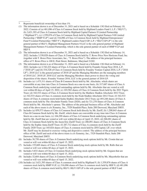- (1) The information shown is as of December 31, 2021 and is based on a Schedule 13G filed on February 10, 2022. Consists of (a) 481,096 of Class A Common Stock held by Highland Leaders Fund I, L.P. ("HLF I"), (b) 3,621,393 of Class A Common Stock held by Highland Capital Partners 9 Limited Partnership ("Highland 9"), (c) 1,559,876 of Class A Common Stock held by Highland Capital Partners 9-B Limited Partnership ("HMP 9 LP") and (d) 316,096 of Class A Common Stock held by Highland Entrepreneurs' Fund 9 Limited Partnership ("HEF 9"). Highland Leaders Fund I GP, L.P. ("HLF I GP LP") is the sole general partner of HLF I. Highland Management Partners 9 LLC is the sole general partner of Highland Management Partners 9 Limited Partnership, which is the sole general partner of each of HMP 9 LP and HEF 9.
- (2) The information shown is as of December 31, 2021 and is based on a Schedule 13G filed on February 14, 2022. Includes 3,330,028 shares of Class A Common Stock held by T. Rowe Price New Horizons Fund, Inc. (together with T. Rowe Price Associates, Inc., "T. Rowe Price"). The address of the principal business office of T. Rowe Price is 100 E. Pratt Street, Baltimore, Maryland 21202.
- (3) The information shown is as of December 31, 2021 and is based on a Schedule 13G filed on February 14, 2022. Includes (a) 2,742,223 shares of Class A Common Stock held by Foundry Group Next 2018, L.P. ("2018 LP") and (b) 534,328 of Class A Common Stock held by Foundry Venture Capital 2016, L.P. ("2016 LP"). 2018 LLC is the general partner of 2018 LP and the Managing Members are the managing members of 2018 LLC. 2018 LP, 2018 LLC and the Managing Members share power to direct the voting and disposition of the shares. Foundry Venture 2016, LLC is the general partner of 2016 LP.
- (4) Includes (a) 1,475,311 shares of Class B Common Stock held by Mr. Altschuler, which shares are convertible at any time into Class A Common Stock on a one-to-one basis, (b) 317,687 shares of Class A Common Stock underlying vested and outstanding options held by Mr. Altschuler that are vested or will vest within 60 days of April 15, 2022, (c) 103,582 shares of Class A Common Stock held by the 2021 Tigers Trust; (d) 342,533 shares of Class A Common Stock held by the Matthew Sladkin Altschuler 2012 Trust; (e) 342,533 shares of Class A common stock held by the Noah Sladkin Altschuler 2012 Trust; (f) 342,533 shares of Class A common stock held Sasha Sladkin Altschuler 2012 Trust, (g) 493,248 shares of Class A common stock held by The Altschuler Family Trust (2020), and (h) 721,270 shares of Class A Common Stock held by Mr. Altschuler's spouse. The address of the principal business office of Mr. Altschuler and each of the above trusts is c/o Xometry, Inc., 7529 Standish Place, Suite 200 Derwood, Maryland 20855.
- (5) Includes (a) 859,573 shares of Class A Common Stock held directly by Mr. Zuriff, (b) 1,200,843 shares of Class B Common Stock held by Mr. Zuriff, which shares are convertible at any time into Class A Common Stock on a one-to-one basis, (c) 104,299 shares of Class A Common Stock underlying outstanding options held by Mr. Zuriff that are vested or will vest within 60 days of April 15, 2022, (d) 288,091 shares of Class A Common Stock held by the Jason Eric Zuriff Trust; (e) 288,091 shares of Class A Common Stock held by the Sophie Anna Zuriff Trust; (f) 287,712 shares of Class A common stock held by the Zuriff Family 2020 Trust; (g) 165,024 shares of Class A common stock held by ZFI Capital, LP, over which Mr. Zuriff may be deemed to exercise voting and dispositive control. The address of the principal business office of Mr. Zuriff and each of the above trusts is c/o Xometry, Inc., 7529 Standish Place, Suite 200 Derwood, Maryland 20855.
- (6) Includes 38,750 shares of Class A Common Stock underlying stock options held by Mr. Cronin that are vested or will vest within 60 days of April 15, 2022.
- (7) Includes 155,669 shares of Class A Common Stock underlying stock options held by Mr. Rallo that are vested or will vest within 60 days of April 15, 2022.
- (8) Includes 5,832 shares of Class A Common Stock underlying stock options held by Mr. Goguen that are vested or will vest within 60 days of April 15, 2022.
- (9) Includes 32,604 shares of Class A Common Stock underlying stock options held by Ms. Mayerhofer that are vested or will vest within 60 days of April 15, 2022.
- (10) Includes (a) 3,621,393 shares of Class A common stock held by Highland 9, (b) 1,559,876 shares of Class A common stock held by HMP 9 LP, (c) 316,096 shares of Class A common stock held by HEF 9, (d) 481,096 shares of Class A common stock held by HLF I. HLF I GP LP is the sole general partner of HLF I and

Represents beneficial ownership of less than 1%.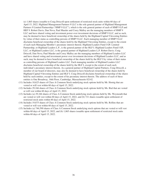(e) 1,865 shares issuable to Craig Driscoll upon settlement of restricted stock units within 60 days of April 15, 2022. Highland Management Partners 9 LLC is the sole general partner of Highland Management Partners 9 Limited Partnership ("HMP 9 LLC"), which is the sole general partner of each of HMP 9 LP and HEF 9. Robert Davis, Dan Nova, Paul Maeder and Corey Malloy are the managing members of HMP 9 LLC and have shared voting and investment power over investment decisions of HMP 9 LLC, and as such, may be deemed to have beneficial ownership of the shares held by the Highland Capital 9 Investing Entities by virtue of their status as controlling persons of HMP 9 LLC. Each managing member of HMP 9 LLC disclaims beneficial ownership of the shares held by the Highland 9 Investing Entities, except to the extent of each such Managing Member's pecuniary interest therein. Highland Leaders Fund I GP, Limited Partnership, or Highland Leaders L.P., is the general partner of the HLF I. Highland Leaders Fund I GP, LLC, or Highland Leaders LLC, is the general partner of Highland Leaders L.P. Robert Davis, Craig Driscoll, Dan Nova, Paul Maeder and Corey Malloy are the managing members of Highland Leaders LLC and have shared voting and investment power over investment decisions of Highland Leaders LLC, and as such, may be deemed to have beneficial ownership of the shares held by the HLF I by virtue of their status as controlling persons of Highland Leaders LLC. Each managing member of Highland Leaders LLC disclaims beneficial ownership of the shares held by the HLF I, except to the extent of each such individual's pecuniary interest therein. As a general partner of Highland Capital Partners, Craig Driscoll, a member of our board of directors, may also be deemed to have beneficial ownership of the shares held by Highland Capital 9 Investing Entities and HLF I. Craig Driscoll disclaims beneficial ownership of the shares held by such entities, except to the extent of his pecuniary interest therein. The address of each of these entities is One Broadway, 16th Floor, Cambridge, Massachusetts 02142.

- (11) Includes 10,625 shares of Class A Common Stock underlying stock options held by Mr. Hornig that are vested or will vest within 60 days of April 15, 2022.
- (12) Includes 29,166 shares of Class A Common Stock underlying stock options held by Ms. Bial that are vested or will vest within 60 days of April 15, 2022.
- (13) Includes (a) 29,166 shares of Class A Common Stock underlying stock options held by Ms. Weymouth that are vested or will vest within 60 days of April 15, 2022, and (b) 721 shares issuable upon settlement of restricted stock units within 60 days of April 15, 2022.
- (14) Includes 19,875 shares of Class A Common Stock underlying stock options held by Ms. Rollins that are vested or will vest within 60 days of April 15, 2022.
- (15) Includes (a) 746,590 shares of Class A Common Stock underlying stock options that are vested or will vest within 60 days of April 15, 2022, and (b) 1,865 shares issuable upon settlement of restricted stock units within 60 days of April 15, 2022.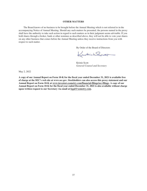# **OTHER MATTERS**

<span id="page-41-0"></span>The Board knows of no business to be brought before the Annual Meeting which is not referred to in the accompanying Notice of Annual Meeting. Should any such matters be presented, the persons named in the proxy shall have the authority to take such action in regard to such matters as in their judgment seems advisable. If you hold shares through a broker, bank or other nominee as described above, they will not be able to vote your shares on any other business that comes before the Annual Meeting unless they receive instructions from you with respect to such matter.

By Order of the Board of Directors

Kustinhallen

Kristie Scott *General Counsel and Secretary*

May 2, 2022

**A copy of our Annual Report on Form 10-K for the fiscal year ended December 31, 2021 is available free of charge at the SEC's web site at www.sec.gov. Stockholders can also access this proxy statement and our Annual Report on Form 10-K at www.investors.xometry.com/financial-filings/sec-filings. A copy of our Annual Report on Form 10-K for the fiscal year ended December 31, 2021 is also available without charge upon written request to our Secretary via email at legal@xometry.com.**